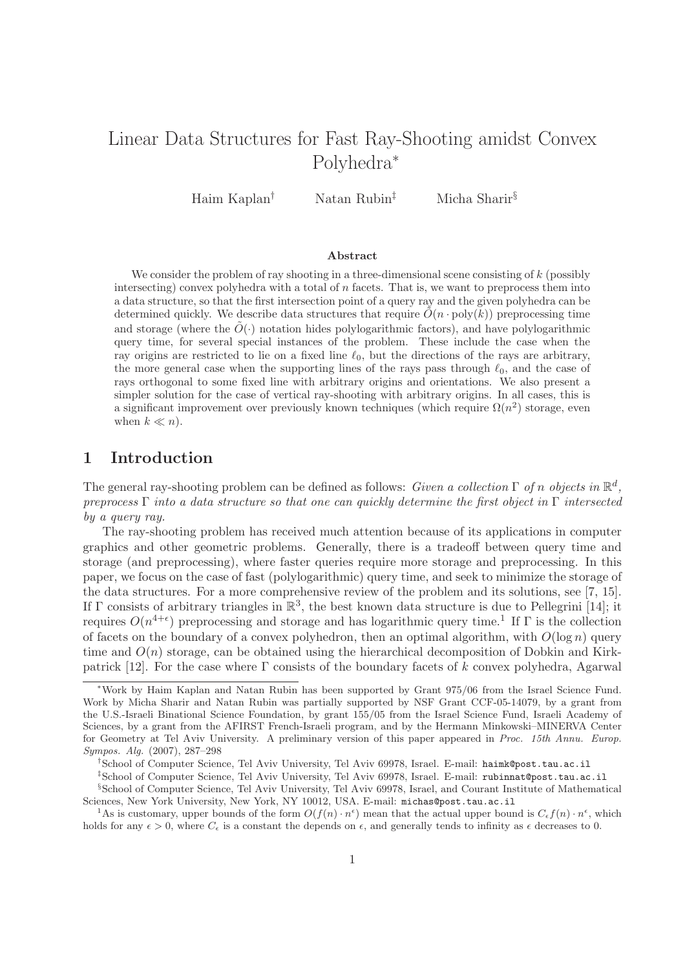# Linear Data Structures for Fast Ray-Shooting amidst Convex Polyhedra<sup>∗</sup>

Haim Kaplan† Natan Rubin‡ Micha Sharir§

## Abstract

We consider the problem of ray shooting in a three-dimensional scene consisting of  $k$  (possibly intersecting) convex polyhedra with a total of  $n$  facets. That is, we want to preprocess them into a data structure, so that the first intersection point of a query ray and the given polyhedra can be determined quickly. We describe data structures that require  $\tilde{O}(n \cdot \text{poly}(k))$  preprocessing time and storage (where the  $\tilde{O}(\cdot)$  notation hides polylogarithmic factors), and have polylogarithmic query time, for several special instances of the problem. These include the case when the ray origins are restricted to lie on a fixed line  $\ell_0$ , but the directions of the rays are arbitrary, the more general case when the supporting lines of the rays pass through  $\ell_0$ , and the case of rays orthogonal to some fixed line with arbitrary origins and orientations. We also present a simpler solution for the case of vertical ray-shooting with arbitrary origins. In all cases, this is a significant improvement over previously known techniques (which require  $\Omega(n^2)$  storage, even when  $k \ll n$ ).

## 1 Introduction

The general ray-shooting problem can be defined as follows: Given a collection  $\Gamma$  of n objects in  $\mathbb{R}^d$ , preprocess  $\Gamma$  into a data structure so that one can quickly determine the first object in  $\Gamma$  intersected by a query ray.

The ray-shooting problem has received much attention because of its applications in computer graphics and other geometric problems. Generally, there is a tradeoff between query time and storage (and preprocessing), where faster queries require more storage and preprocessing. In this paper, we focus on the case of fast (polylogarithmic) query time, and seek to minimize the storage of the data structures. For a more comprehensive review of the problem and its solutions, see [7, 15]. If  $\Gamma$  consists of arbitrary triangles in  $\mathbb{R}^3$ , the best known data structure is due to Pellegrini [14]; it requires  $O(n^{4+\epsilon})$  preprocessing and storage and has logarithmic query time.<sup>1</sup> If  $\Gamma$  is the collection of facets on the boundary of a convex polyhedron, then an optimal algorithm, with  $O(\log n)$  query time and  $O(n)$  storage, can be obtained using the hierarchical decomposition of Dobkin and Kirkpatrick [12]. For the case where  $\Gamma$  consists of the boundary facets of k convex polyhedra, Agarwal

<sup>∗</sup>Work by Haim Kaplan and Natan Rubin has been supported by Grant 975/06 from the Israel Science Fund. Work by Micha Sharir and Natan Rubin was partially supported by NSF Grant CCF-05-14079, by a grant from the U.S.-Israeli Binational Science Foundation, by grant 155/05 from the Israel Science Fund, Israeli Academy of Sciences, by a grant from the AFIRST French-Israeli program, and by the Hermann Minkowski–MINERVA Center for Geometry at Tel Aviv University. A preliminary version of this paper appeared in Proc. 15th Annu. Europ. Sympos. Alg. (2007), 287–298

<sup>†</sup>School of Computer Science, Tel Aviv University, Tel Aviv 69978, Israel. E-mail: haimk@post.tau.ac.il

<sup>‡</sup>School of Computer Science, Tel Aviv University, Tel Aviv 69978, Israel. E-mail: rubinnat@post.tau.ac.il

<sup>§</sup>School of Computer Science, Tel Aviv University, Tel Aviv 69978, Israel, and Courant Institute of Mathematical Sciences, New York University, New York, NY 10012, USA. E-mail: michas@post.tau.ac.il

<sup>&</sup>lt;sup>1</sup>As is customary, upper bounds of the form  $O(f(n) \cdot n^{\epsilon})$  mean that the actual upper bound is  $C_{\epsilon} f(n) \cdot n^{\epsilon}$ , which holds for any  $\epsilon > 0$ , where  $C_{\epsilon}$  is a constant the depends on  $\epsilon$ , and generally tends to infinity as  $\epsilon$  decreases to 0.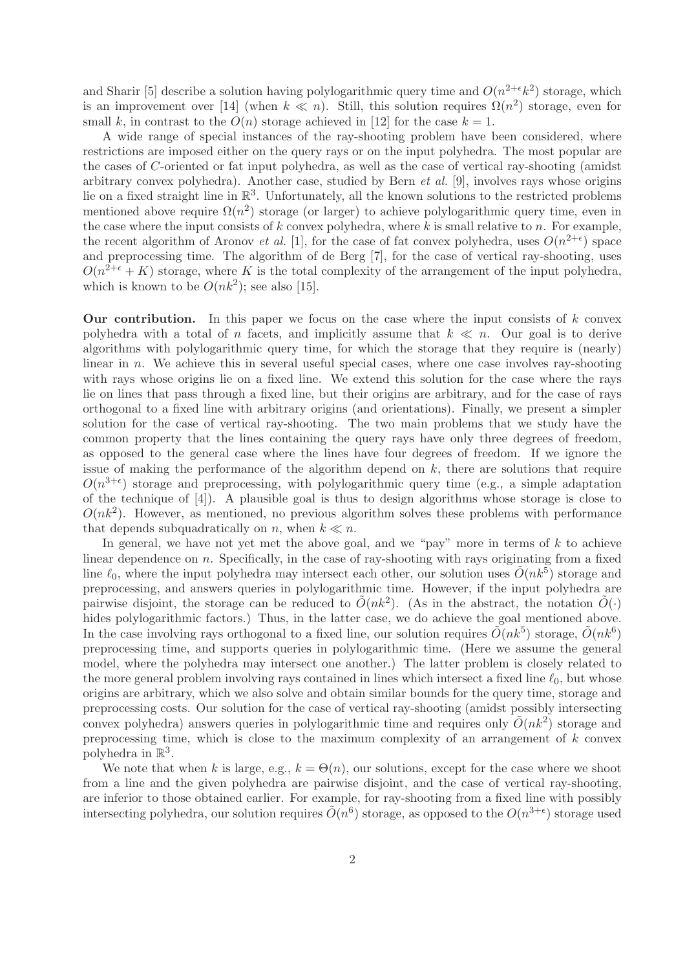and Sharir [5] describe a solution having polylogarithmic query time and  $O(n^{2+\epsilon}k^2)$  storage, which is an improvement over [14] (when  $k \ll n$ ). Still, this solution requires  $\Omega(n^2)$  storage, even for small k, in contrast to the  $O(n)$  storage achieved in [12] for the case  $k = 1$ .

A wide range of special instances of the ray-shooting problem have been considered, where restrictions are imposed either on the query rays or on the input polyhedra. The most popular are the cases of C-oriented or fat input polyhedra, as well as the case of vertical ray-shooting (amidst arbitrary convex polyhedra). Another case, studied by Bern  $et al.$  [9], involves rays whose origins lie on a fixed straight line in R 3 . Unfortunately, all the known solutions to the restricted problems mentioned above require  $\Omega(n^2)$  storage (or larger) to achieve polylogarithmic query time, even in the case where the input consists of k convex polyhedra, where k is small relative to n. For example, the recent algorithm of Aronov *et al.* [1], for the case of fat convex polyhedra, uses  $O(n^{2+\epsilon})$  space and preprocessing time. The algorithm of de Berg [7], for the case of vertical ray-shooting, uses  $O(n^{2+\epsilon} + K)$  storage, where K is the total complexity of the arrangement of the input polyhedra, which is known to be  $O(nk^2)$ ; see also [15].

**Our contribution.** In this paper we focus on the case where the input consists of  $k$  convex polyhedra with a total of n facets, and implicitly assume that  $k \ll n$ . Our goal is to derive algorithms with polylogarithmic query time, for which the storage that they require is (nearly) linear in  $n$ . We achieve this in several useful special cases, where one case involves ray-shooting with rays whose origins lie on a fixed line. We extend this solution for the case where the rays lie on lines that pass through a fixed line, but their origins are arbitrary, and for the case of rays orthogonal to a fixed line with arbitrary origins (and orientations). Finally, we present a simpler solution for the case of vertical ray-shooting. The two main problems that we study have the common property that the lines containing the query rays have only three degrees of freedom, as opposed to the general case where the lines have four degrees of freedom. If we ignore the issue of making the performance of the algorithm depend on  $k$ , there are solutions that require  $O(n^{3+\epsilon})$  storage and preprocessing, with polylogarithmic query time (e.g., a simple adaptation of the technique of [4]). A plausible goal is thus to design algorithms whose storage is close to  $O(nk^2)$ . However, as mentioned, no previous algorithm solves these problems with performance that depends subquadratically on n, when  $k \ll n$ .

In general, we have not yet met the above goal, and we "pay" more in terms of  $k$  to achieve linear dependence on  $n$ . Specifically, in the case of ray-shooting with rays originating from a fixed line  $\ell_0$ , where the input polyhedra may intersect each other, our solution uses  $\tilde{O}(nk^5)$  storage and preprocessing, and answers queries in polylogarithmic time. However, if the input polyhedra are pairwise disjoint, the storage can be reduced to  $\tilde{O}(nk^2)$ . (As in the abstract, the notation  $\tilde{O}(\cdot)$ hides polylogarithmic factors.) Thus, in the latter case, we do achieve the goal mentioned above. In the case involving rays orthogonal to a fixed line, our solution requires  $\tilde{O}(nk^5)$  storage,  $\tilde{O}(nk^6)$ preprocessing time, and supports queries in polylogarithmic time. (Here we assume the general model, where the polyhedra may intersect one another.) The latter problem is closely related to the more general problem involving rays contained in lines which intersect a fixed line  $\ell_0$ , but whose origins are arbitrary, which we also solve and obtain similar bounds for the query time, storage and preprocessing costs. Our solution for the case of vertical ray-shooting (amidst possibly intersecting convex polyhedra) answers queries in polylogarithmic time and requires only  $\tilde{O}(nk^2)$  storage and preprocessing time, which is close to the maximum complexity of an arrangement of  $k$  convex polyhedra in  $\mathbb{R}^3$ .

We note that when k is large, e.g.,  $k = \Theta(n)$ , our solutions, except for the case where we shoot from a line and the given polyhedra are pairwise disjoint, and the case of vertical ray-shooting, are inferior to those obtained earlier. For example, for ray-shooting from a fixed line with possibly intersecting polyhedra, our solution requires  $\tilde{O}(n^6)$  storage, as opposed to the  $O(n^{3+\epsilon})$  storage used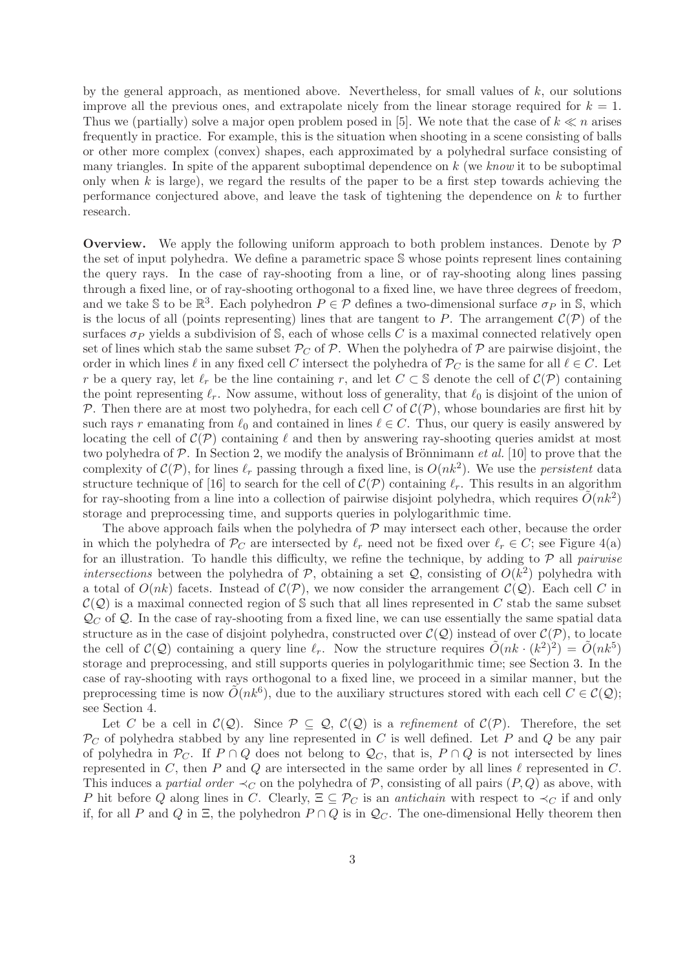by the general approach, as mentioned above. Nevertheless, for small values of  $k$ , our solutions improve all the previous ones, and extrapolate nicely from the linear storage required for  $k = 1$ . Thus we (partially) solve a major open problem posed in [5]. We note that the case of  $k \ll n$  arises frequently in practice. For example, this is the situation when shooting in a scene consisting of balls or other more complex (convex) shapes, each approximated by a polyhedral surface consisting of many triangles. In spite of the apparent suboptimal dependence on  $k$  (we know it to be suboptimal only when  $k$  is large), we regard the results of the paper to be a first step towards achieving the performance conjectured above, and leave the task of tightening the dependence on k to further research.

**Overview.** We apply the following uniform approach to both problem instances. Denote by  $\mathcal{P}$ the set of input polyhedra. We define a parametric space S whose points represent lines containing the query rays. In the case of ray-shooting from a line, or of ray-shooting along lines passing through a fixed line, or of ray-shooting orthogonal to a fixed line, we have three degrees of freedom, and we take S to be  $\mathbb{R}^3$ . Each polyhedron  $P \in \mathcal{P}$  defines a two-dimensional surface  $\sigma_P$  in S, which is the locus of all (points representing) lines that are tangent to P. The arrangement  $\mathcal{C}(\mathcal{P})$  of the surfaces  $\sigma_P$  yields a subdivision of S, each of whose cells C is a maximal connected relatively open set of lines which stab the same subset  $\mathcal{P}_C$  of  $\mathcal{P}$ . When the polyhedra of  $\mathcal{P}$  are pairwise disjoint, the order in which lines  $\ell$  in any fixed cell C intersect the polyhedra of  $P_C$  is the same for all  $\ell \in C$ . Let r be a query ray, let  $\ell_r$  be the line containing r, and let  $C \subset \mathbb{S}$  denote the cell of  $\mathcal{C}(\mathcal{P})$  containing the point representing  $\ell_r$ . Now assume, without loss of generality, that  $\ell_0$  is disjoint of the union of P. Then there are at most two polyhedra, for each cell C of  $\mathcal{C}(\mathcal{P})$ , whose boundaries are first hit by such rays r emanating from  $\ell_0$  and contained in lines  $\ell \in C$ . Thus, our query is easily answered by locating the cell of  $\mathcal{C}(\mathcal{P})$  containing  $\ell$  and then by answering ray-shooting queries amidst at most two polyhedra of  $P$ . In Section 2, we modify the analysis of Brönnimann *et al.* [10] to prove that the complexity of  $\mathcal{C}(\mathcal{P})$ , for lines  $\ell_r$  passing through a fixed line, is  $O(nk^2)$ . We use the *persistent* data structure technique of [16] to search for the cell of  $\mathcal{C}(\mathcal{P})$  containing  $\ell_r$ . This results in an algorithm for ray-shooting from a line into a collection of pairwise disjoint polyhedra, which requires  $\tilde{O}(nk^2)$ storage and preprocessing time, and supports queries in polylogarithmic time.

The above approach fails when the polyhedra of  $P$  may intersect each other, because the order in which the polyhedra of  $\mathcal{P}_C$  are intersected by  $\ell_r$  need not be fixed over  $\ell_r \in C$ ; see Figure 4(a) for an illustration. To handle this difficulty, we refine the technique, by adding to  $\mathcal{P}$  all pairwise intersections between the polyhedra of  $P$ , obtaining a set  $Q$ , consisting of  $O(k^2)$  polyhedra with a total of  $O(nk)$  facets. Instead of  $\mathcal{C}(\mathcal{P})$ , we now consider the arrangement  $\mathcal{C}(\mathcal{Q})$ . Each cell C in  $\mathcal{C}(\mathcal{Q})$  is a maximal connected region of S such that all lines represented in C stab the same subset  $\mathcal{Q}_C$  of  $\mathcal{Q}$ . In the case of ray-shooting from a fixed line, we can use essentially the same spatial data structure as in the case of disjoint polyhedra, constructed over  $\mathcal{C}(\mathcal{Q})$  instead of over  $\mathcal{C}(\mathcal{P})$ , to locate the cell of  $\mathcal{C}(\mathcal{Q})$  containing a query line  $\ell_r$ . Now the structure requires  $\tilde{O}(nk \cdot (k^2)^2) = \tilde{O}(nk^5)$ storage and preprocessing, and still supports queries in polylogarithmic time; see Section 3. In the case of ray-shooting with rays orthogonal to a fixed line, we proceed in a similar manner, but the preprocessing time is now  $\tilde{O}(nk^6)$ , due to the auxiliary structures stored with each cell  $C \in \mathcal{C}(\mathcal{Q})$ ; see Section 4.

Let C be a cell in  $\mathcal{C}(\mathcal{Q})$ . Since  $\mathcal{P} \subset \mathcal{Q}$ ,  $\mathcal{C}(\mathcal{Q})$  is a refinement of  $\mathcal{C}(\mathcal{P})$ . Therefore, the set  $\mathcal{P}_C$  of polyhedra stabbed by any line represented in C is well defined. Let P and Q be any pair of polyhedra in  $\mathcal{P}_C$ . If  $P \cap Q$  does not belong to  $\mathcal{Q}_C$ , that is,  $P \cap Q$  is not intersected by lines represented in C, then P and Q are intersected in the same order by all lines  $\ell$  represented in C. This induces a partial order  $\prec_C$  on the polyhedra of P, consisting of all pairs  $(P, Q)$  as above, with P hit before Q along lines in C. Clearly,  $\Xi \subseteq \mathcal{P}_C$  is an *antichain* with respect to  $\prec_C$  if and only if, for all P and Q in  $\Xi$ , the polyhedron  $P \cap Q$  is in  $\mathcal{Q}_C$ . The one-dimensional Helly theorem then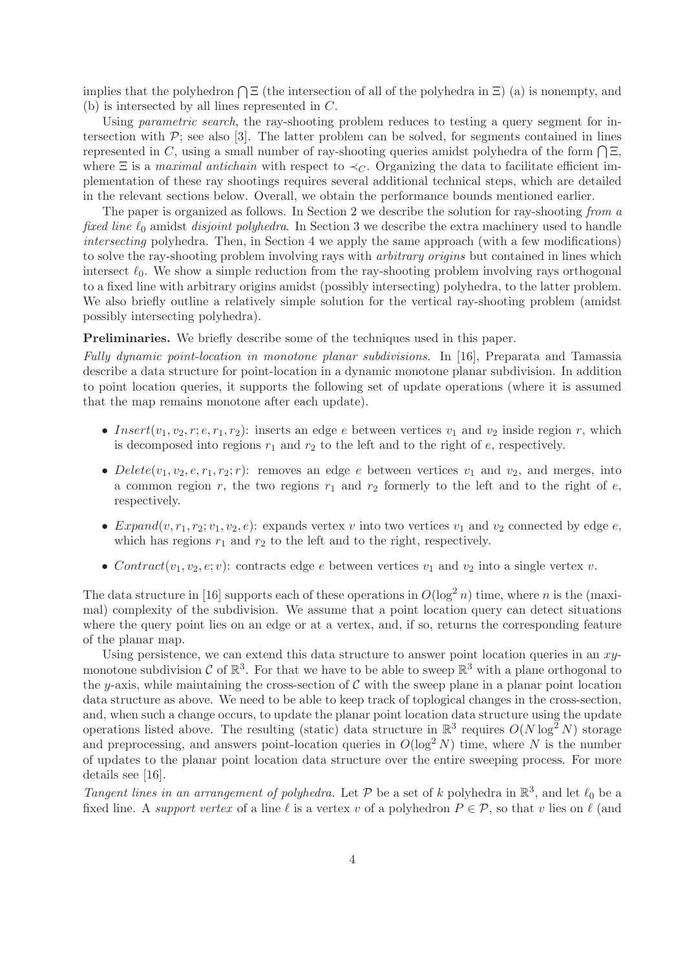implies that the polyhedron  $\bigcap \Xi$  (the intersection of all of the polyhedra in  $\Xi$ ) (a) is nonempty, and (b) is intersected by all lines represented in C.

Using *parametric search*, the ray-shooting problem reduces to testing a query segment for intersection with  $\mathcal{P}$ ; see also [3]. The latter problem can be solved, for segments contained in lines represented in C, using a small number of ray-shooting queries amidst polyhedra of the form  $\bigcap \Xi$ , where  $\Xi$  is a maximal antichain with respect to  $\prec_C$ . Organizing the data to facilitate efficient implementation of these ray shootings requires several additional technical steps, which are detailed in the relevant sections below. Overall, we obtain the performance bounds mentioned earlier.

The paper is organized as follows. In Section 2 we describe the solution for ray-shooting from a fixed line  $\ell_0$  amidst disjoint polyhedra. In Section 3 we describe the extra machinery used to handle intersecting polyhedra. Then, in Section 4 we apply the same approach (with a few modifications) to solve the ray-shooting problem involving rays with *arbitrary origins* but contained in lines which intersect  $\ell_0$ . We show a simple reduction from the ray-shooting problem involving rays orthogonal to a fixed line with arbitrary origins amidst (possibly intersecting) polyhedra, to the latter problem. We also briefly outline a relatively simple solution for the vertical ray-shooting problem (amidst possibly intersecting polyhedra).

Preliminaries. We briefly describe some of the techniques used in this paper.

Fully dynamic point-location in monotone planar subdivisions. In [16], Preparata and Tamassia describe a data structure for point-location in a dynamic monotone planar subdivision. In addition to point location queries, it supports the following set of update operations (where it is assumed that the map remains monotone after each update).

- Insert $(v_1, v_2, r; e, r_1, r_2)$ : inserts an edge e between vertices  $v_1$  and  $v_2$  inside region r, which is decomposed into regions  $r_1$  and  $r_2$  to the left and to the right of e, respectively.
- Delete $(v_1, v_2, e, r_1, r_2; r)$ : removes an edge e between vertices  $v_1$  and  $v_2$ , and merges, into a common region r, the two regions  $r_1$  and  $r_2$  formerly to the left and to the right of e, respectively.
- Expand $(v, r_1, r_2; v_1, v_2, e)$ : expands vertex v into two vertices  $v_1$  and  $v_2$  connected by edge  $e$ , which has regions  $r_1$  and  $r_2$  to the left and to the right, respectively.
- Contract( $v_1, v_2, e; v$ ): contracts edge e between vertices  $v_1$  and  $v_2$  into a single vertex  $v$ .

The data structure in [16] supports each of these operations in  $O(\log^2 n)$  time, where n is the (maximal) complexity of the subdivision. We assume that a point location query can detect situations where the query point lies on an edge or at a vertex, and, if so, returns the corresponding feature of the planar map.

Using persistence, we can extend this data structure to answer point location queries in an  $xy$ monotone subdivision  $\mathcal C$  of  $\mathbb R^3$ . For that we have to be able to sweep  $\mathbb R^3$  with a plane orthogonal to the y-axis, while maintaining the cross-section of  $\mathcal C$  with the sweep plane in a planar point location data structure as above. We need to be able to keep track of toplogical changes in the cross-section, and, when such a change occurs, to update the planar point location data structure using the update operations listed above. The resulting (static) data structure in  $\mathbb{R}^3$  requires  $O(N \log^2 N)$  storage and preprocessing, and answers point-location queries in  $O(\log^2 N)$  time, where N is the number of updates to the planar point location data structure over the entire sweeping process. For more details see [16].

Tangent lines in an arrangement of polyhedra. Let P be a set of k polyhedra in  $\mathbb{R}^3$ , and let  $\ell_0$  be a fixed line. A support vertex of a line  $\ell$  is a vertex v of a polyhedron  $P \in \mathcal{P}$ , so that v lies on  $\ell$  (and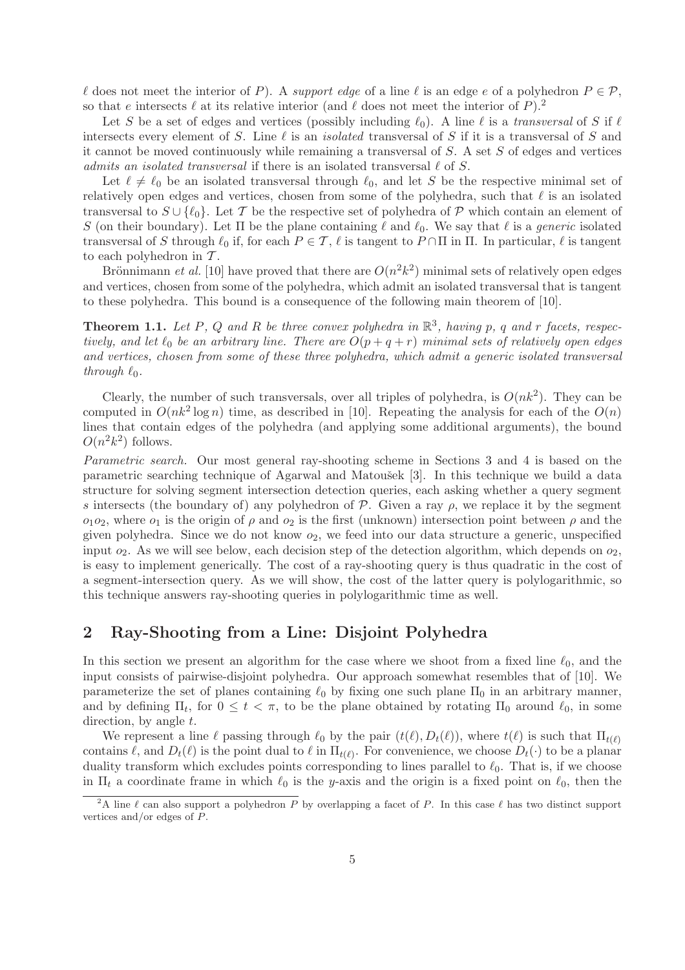l does not meet the interior of P). A support edge of a line l is an edge e of a polyhedron  $P \in \mathcal{P}$ , so that e intersects  $\ell$  at its relative interior (and  $\ell$  does not meet the interior of P).<sup>2</sup>

Let S be a set of edges and vertices (possibly including  $\ell_0$ ). A line  $\ell$  is a transversal of S if  $\ell$ intersects every element of S. Line  $\ell$  is an *isolated* transversal of S if it is a transversal of S and it cannot be moved continuously while remaining a transversal of  $S$ . A set  $S$  of edges and vertices admits an isolated transversal if there is an isolated transversal  $\ell$  of S.

Let  $\ell \neq \ell_0$  be an isolated transversal through  $\ell_0$ , and let S be the respective minimal set of relatively open edges and vertices, chosen from some of the polyhedra, such that  $\ell$  is an isolated transversal to  $S \cup \{\ell_0\}$ . Let T be the respective set of polyhedra of P which contain an element of S (on their boundary). Let  $\Pi$  be the plane containing  $\ell$  and  $\ell_0$ . We say that  $\ell$  is a *generic* isolated transversal of S through  $\ell_0$  if, for each  $P \in \mathcal{T}$ ,  $\ell$  is tangent to  $P \cap \Pi$  in  $\Pi$ . In particular,  $\ell$  is tangent to each polyhedron in  $T$ .

Brönnimann *et al.* [10] have proved that there are  $O(n^2k^2)$  minimal sets of relatively open edges and vertices, chosen from some of the polyhedra, which admit an isolated transversal that is tangent to these polyhedra. This bound is a consequence of the following main theorem of [10].

**Theorem 1.1.** Let P, Q and R be three convex polyhedra in  $\mathbb{R}^3$ , having p, q and r facets, respectively, and let  $\ell_0$  be an arbitrary line. There are  $O(p+q+r)$  minimal sets of relatively open edges and vertices, chosen from some of these three polyhedra, which admit a generic isolated transversal through  $\ell_0$ .

Clearly, the number of such transversals, over all triples of polyhedra, is  $O(nk^2)$ . They can be computed in  $O(nk^2 \log n)$  time, as described in [10]. Repeating the analysis for each of the  $O(n)$ lines that contain edges of the polyhedra (and applying some additional arguments), the bound  $O(n^2k^2)$  follows.

Parametric search. Our most general ray-shooting scheme in Sections 3 and 4 is based on the parametric searching technique of Agarwal and Matoušek [3]. In this technique we build a data structure for solving segment intersection detection queries, each asking whether a query segment s intersects (the boundary of) any polyhedron of  $P$ . Given a ray  $\rho$ , we replace it by the segment  $o_1o_2$ , where  $o_1$  is the origin of  $\rho$  and  $o_2$  is the first (unknown) intersection point between  $\rho$  and the given polyhedra. Since we do not know  $o_2$ , we feed into our data structure a generic, unspecified input  $o_2$ . As we will see below, each decision step of the detection algorithm, which depends on  $o_2$ , is easy to implement generically. The cost of a ray-shooting query is thus quadratic in the cost of a segment-intersection query. As we will show, the cost of the latter query is polylogarithmic, so this technique answers ray-shooting queries in polylogarithmic time as well.

## 2 Ray-Shooting from a Line: Disjoint Polyhedra

In this section we present an algorithm for the case where we shoot from a fixed line  $\ell_0$ , and the input consists of pairwise-disjoint polyhedra. Our approach somewhat resembles that of [10]. We parameterize the set of planes containing  $\ell_0$  by fixing one such plane  $\Pi_0$  in an arbitrary manner, and by defining  $\Pi_t$ , for  $0 \leq t < \pi$ , to be the plane obtained by rotating  $\Pi_0$  around  $\ell_0$ , in some direction, by angle  $t$ .

We represent a line  $\ell$  passing through  $\ell_0$  by the pair  $(t(\ell), D_t(\ell))$ , where  $t(\ell)$  is such that  $\Pi_{t(\ell)}$ contains  $\ell$ , and  $D_t(\ell)$  is the point dual to  $\ell$  in  $\Pi_{t(\ell)}$ . For convenience, we choose  $D_t(\cdot)$  to be a planar duality transform which excludes points corresponding to lines parallel to  $\ell_0$ . That is, if we choose in  $\Pi_t$  a coordinate frame in which  $\ell_0$  is the y-axis and the origin is a fixed point on  $\ell_0$ , then the

<sup>&</sup>lt;sup>2</sup>A line  $\ell$  can also support a polyhedron P by overlapping a facet of P. In this case  $\ell$  has two distinct support vertices and/or edges of P.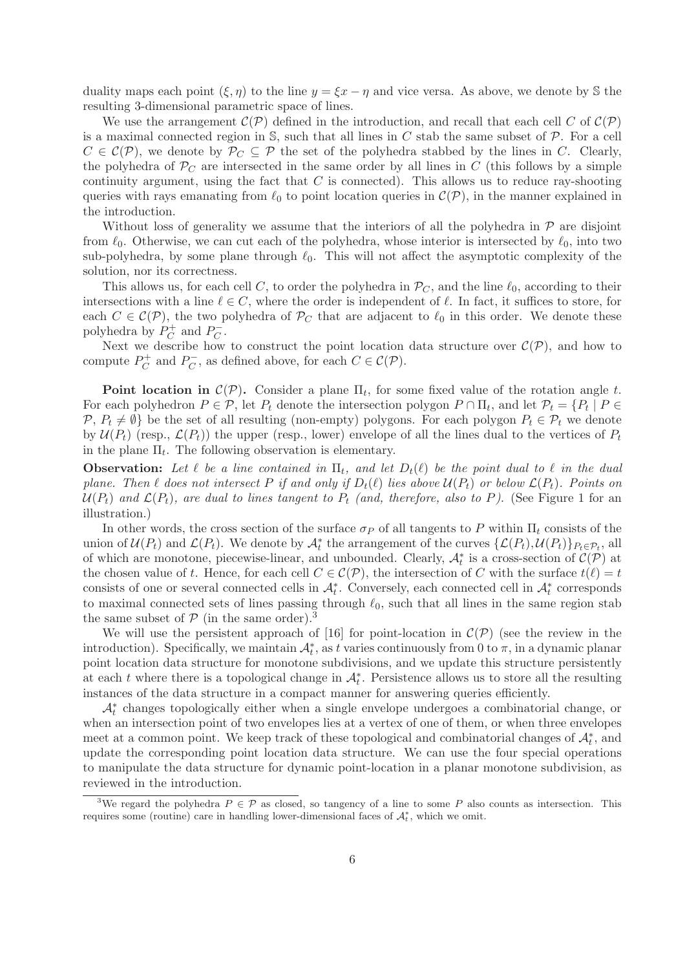duality maps each point  $(\xi, \eta)$  to the line  $y = \xi x - \eta$  and vice versa. As above, we denote by S the resulting 3-dimensional parametric space of lines.

We use the arrangement  $\mathcal{C}(\mathcal{P})$  defined in the introduction, and recall that each cell C of  $\mathcal{C}(\mathcal{P})$ is a maximal connected region in  $S$ , such that all lines in C stab the same subset of  $P$ . For a cell  $C \in \mathcal{C}(\mathcal{P})$ , we denote by  $\mathcal{P}_C \subseteq \mathcal{P}$  the set of the polyhedra stabbed by the lines in C. Clearly, the polyhedra of  $P<sub>C</sub>$  are intersected in the same order by all lines in C (this follows by a simple continuity argument, using the fact that  $C$  is connected). This allows us to reduce ray-shooting queries with rays emanating from  $\ell_0$  to point location queries in  $\mathcal{C}(\mathcal{P})$ , in the manner explained in the introduction.

Without loss of generality we assume that the interiors of all the polyhedra in  $\mathcal P$  are disjoint from  $\ell_0$ . Otherwise, we can cut each of the polyhedra, whose interior is intersected by  $\ell_0$ , into two sub-polyhedra, by some plane through  $\ell_0$ . This will not affect the asymptotic complexity of the solution, nor its correctness.

This allows us, for each cell C, to order the polyhedra in  $\mathcal{P}_C$ , and the line  $\ell_0$ , according to their intersections with a line  $\ell \in C$ , where the order is independent of  $\ell$ . In fact, it suffices to store, for each  $C \in \mathcal{C}(\mathcal{P})$ , the two polyhedra of  $\mathcal{P}_C$  that are adjacent to  $\ell_0$  in this order. We denote these polyhedra by  $P_C^+$  $P_C^+$  and  $P_C^ \bar{C}$  .

Next we describe how to construct the point location data structure over  $\mathcal{C}(\mathcal{P})$ , and how to compute  $P_C^+$  $P_C^+$  and  $P_C^ C_C^-,$  as defined above, for each  $C \in \mathcal{C}(\mathcal{P})$ .

**Point location in**  $\mathcal{C}(\mathcal{P})$ . Consider a plane  $\Pi_t$ , for some fixed value of the rotation angle t. For each polyhedron  $P \in \mathcal{P}$ , let  $P_t$  denote the intersection polygon  $P \cap \Pi_t$ , and let  $\mathcal{P}_t = \{P_t \mid P \in \mathcal{P}_t\}$  $\mathcal{P}, P_t \neq \emptyset$  be the set of all resulting (non-empty) polygons. For each polygon  $P_t \in \mathcal{P}_t$  we denote by  $\mathcal{U}(P_t)$  (resp.,  $\mathcal{L}(P_t)$ ) the upper (resp., lower) envelope of all the lines dual to the vertices of  $P_t$ in the plane  $\Pi_t$ . The following observation is elementary.

**Observation:** Let  $\ell$  be a line contained in  $\Pi_t$ , and let  $D_t(\ell)$  be the point dual to  $\ell$  in the dual plane. Then  $\ell$  does not intersect P if and only if  $D_t(\ell)$  lies above  $\mathcal{U}(P_t)$  or below  $\mathcal{L}(P_t)$ . Points on  $U(P_t)$  and  $\mathcal{L}(P_t)$ , are dual to lines tangent to  $P_t$  (and, therefore, also to P). (See Figure 1 for an illustration.)

In other words, the cross section of the surface  $\sigma_P$  of all tangents to P within  $\Pi_t$  consists of the union of  $\mathcal{U}(P_t)$  and  $\mathcal{L}(P_t)$ . We denote by  $\mathcal{A}_t^*$  the arrangement of the curves  $\{\mathcal{L}(P_t), \mathcal{U}(P_t)\}_{P_t \in \mathcal{P}_t}$ , all of which are monotone, piecewise-linear, and unbounded. Clearly,  $\mathcal{A}_t^*$  is a cross-section of  $\mathcal{C}(\mathcal{P})$  at the chosen value of t. Hence, for each cell  $C \in \mathcal{C}(\mathcal{P})$ , the intersection of C with the surface  $t(\ell) = t$ consists of one or several connected cells in  $\mathcal{A}_t^*$ . Conversely, each connected cell in  $\mathcal{A}_t^*$  corresponds to maximal connected sets of lines passing through  $\ell_0$ , such that all lines in the same region stab the same subset of  $P$  (in the same order).<sup>3</sup>

We will use the persistent approach of [16] for point-location in  $\mathcal{C}(\mathcal{P})$  (see the review in the introduction). Specifically, we maintain  $\mathcal{A}_t^*$ , as t varies continuously from 0 to  $\pi$ , in a dynamic planar point location data structure for monotone subdivisions, and we update this structure persistently at each t where there is a topological change in  $\mathcal{A}_t^*$ . Persistence allows us to store all the resulting instances of the data structure in a compact manner for answering queries efficiently.

A<sup>∗</sup> t changes topologically either when a single envelope undergoes a combinatorial change, or when an intersection point of two envelopes lies at a vertex of one of them, or when three envelopes meet at a common point. We keep track of these topological and combinatorial changes of  $\mathcal{A}_t^*$ , and update the corresponding point location data structure. We can use the four special operations to manipulate the data structure for dynamic point-location in a planar monotone subdivision, as reviewed in the introduction.

<sup>&</sup>lt;sup>3</sup>We regard the polyhedra  $P \in \mathcal{P}$  as closed, so tangency of a line to some P also counts as intersection. This requires some (routine) care in handling lower-dimensional faces of  $\mathcal{A}_t^*$ , which we omit.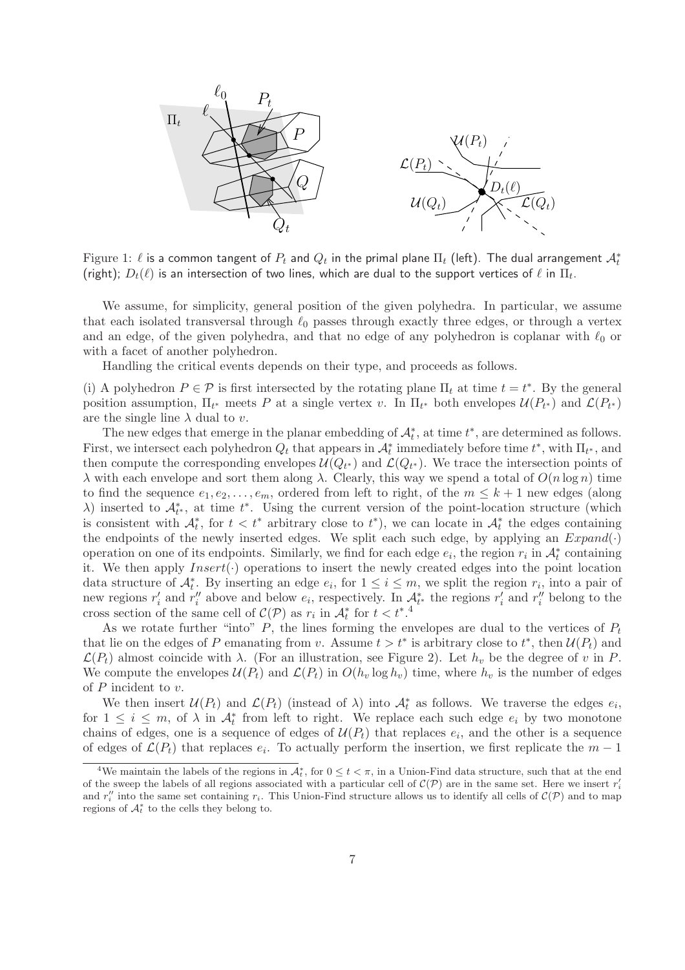

Figure 1:  $\ell$  is a common tangent of  $P_t$  and  $Q_t$  in the primal plane  $\Pi_t$  (left). The dual arrangement  $\mathcal{A}_t^*$ (right);  $D_t(\ell)$  is an intersection of two lines, which are dual to the support vertices of  $\ell$  in  $\Pi_t.$ 

We assume, for simplicity, general position of the given polyhedra. In particular, we assume that each isolated transversal through  $\ell_0$  passes through exactly three edges, or through a vertex and an edge, of the given polyhedra, and that no edge of any polyhedron is coplanar with  $\ell_0$  or with a facet of another polyhedron.

Handling the critical events depends on their type, and proceeds as follows.

(i) A polyhedron  $P \in \mathcal{P}$  is first intersected by the rotating plane  $\Pi_t$  at time  $t = t^*$ . By the general position assumption,  $\Pi_{t^*}$  meets P at a single vertex v. In  $\Pi_{t^*}$  both envelopes  $\mathcal{U}(P_{t^*})$  and  $\mathcal{L}(P_{t^*})$ are the single line  $\lambda$  dual to v.

The new edges that emerge in the planar embedding of  $\mathcal{A}_t^*$ , at time  $t^*$ , are determined as follows. First, we intersect each polyhedron  $Q_t$  that appears in  $\mathcal{A}_t^*$  immediately before time  $t^*$ , with  $\Pi_{t^*}$ , and then compute the corresponding envelopes  $\mathcal{U}(Q_{t^*})$  and  $\mathcal{L}(Q_{t^*})$ . We trace the intersection points of λ with each envelope and sort them along λ. Clearly, this way we spend a total of  $O(n \log n)$  time to find the sequence  $e_1, e_2, \ldots, e_m$ , ordered from left to right, of the  $m \leq k+1$  new edges (along  $\lambda$ ) inserted to  $\mathcal{A}_{t^*}^*$ , at time  $t^*$ . Using the current version of the point-location structure (which is consistent with  $\mathcal{A}_t^*$ , for  $t < t^*$  arbitrary close to  $t^*$ ), we can locate in  $\mathcal{A}_t^*$  the edges containing the endpoints of the newly inserted edges. We split each such edge, by applying an  $Expand(\cdot)$ operation on one of its endpoints. Similarly, we find for each edge  $e_i$ , the region  $r_i$  in  $\mathcal{A}_t^*$  containing it. We then apply  $Insert(\cdot)$  operations to insert the newly created edges into the point location data structure of  $A_t^*$ . By inserting an edge  $e_i$ , for  $1 \leq i \leq m$ , we split the region  $r_i$ , into a pair of new regions  $r'_i$  and  $r''_i$  above and below  $e_i$ , respectively. In  $\mathcal{A}_{t^*}^*$  the regions  $r'_i$  and  $r''_i$  belong to the cross section of the same cell of  $\mathcal{C}(\mathcal{P})$  as  $r_i$  in  $\mathcal{A}_t^*$  for  $t < t^*$ .<sup>4</sup>

As we rotate further "into"  $P$ , the lines forming the envelopes are dual to the vertices of  $P_t$ that lie on the edges of P emanating from v. Assume  $t > t^*$  is arbitrary close to  $t^*$ , then  $\mathcal{U}(P_t)$  and  $\mathcal{L}(P_t)$  almost coincide with  $\lambda$ . (For an illustration, see Figure 2). Let  $h_v$  be the degree of v in P. We compute the envelopes  $\mathcal{U}(P_t)$  and  $\mathcal{L}(P_t)$  in  $O(h_v \log h_v)$  time, where  $h_v$  is the number of edges of P incident to v.

We then insert  $\mathcal{U}(P_t)$  and  $\mathcal{L}(P_t)$  (instead of  $\lambda$ ) into  $\mathcal{A}_t^*$  as follows. We traverse the edges  $e_i$ , for  $1 \leq i \leq m$ , of  $\lambda$  in  $\mathcal{A}_{t}^{*}$  from left to right. We replace each such edge  $e_{i}$  by two monotone chains of edges, one is a sequence of edges of  $U(P_t)$  that replaces  $e_i$ , and the other is a sequence of edges of  $\mathcal{L}(P_t)$  that replaces  $e_i$ . To actually perform the insertion, we first replicate the  $m-1$ 

<sup>&</sup>lt;sup>4</sup>We maintain the labels of the regions in  $\mathcal{A}_t^*$ , for  $0 \le t < \pi$ , in a Union-Find data structure, such that at the end of the sweep the labels of all regions associated with a particular cell of  $\mathcal{C}(\mathcal{P})$  are in the same set. Here we insert  $r_i'$ and  $r''_i$  into the same set containing  $r_i$ . This Union-Find structure allows us to identify all cells of  $\mathcal{C}(\mathcal{P})$  and to map regions of  $\mathcal{A}_t^*$  to the cells they belong to.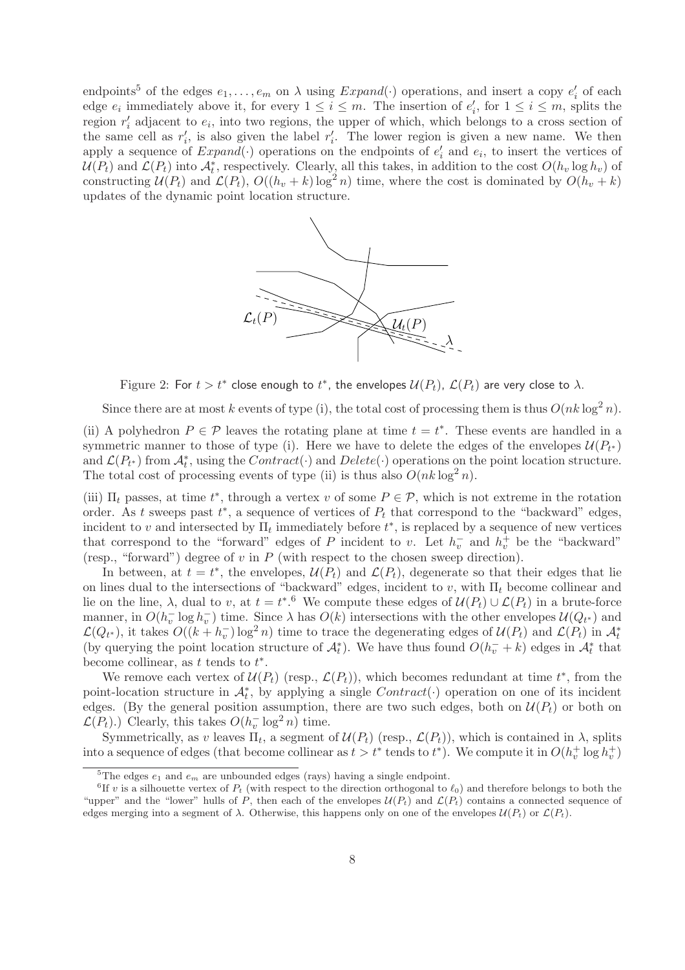endpoints<sup>5</sup> of the edges  $e_1, \ldots, e_m$  on  $\lambda$  using  $Expand(\cdot)$  operations, and insert a copy  $e'_i$  of each edge  $e_i$  immediately above it, for every  $1 \leq i \leq m$ . The insertion of  $e'_i$ , for  $1 \leq i \leq m$ , splits the region  $r_i'$  adjacent to  $e_i$ , into two regions, the upper of which, which belongs to a cross section of the same cell as  $r_i'$ , is also given the label  $r_i'$ . The lower region is given a new name. We then apply a sequence of  $Expand(·)$  operations on the endpoints of  $e'_{i}$  and  $e_{i}$ , to insert the vertices of  $U(P_t)$  and  $\mathcal{L}(P_t)$  into  $\mathcal{A}_t^*$ , respectively. Clearly, all this takes, in addition to the cost  $O(h_v \log h_v)$  of constructing  $\mathcal{U}(P_t)$  and  $\mathcal{L}(P_t)$ ,  $O((h_v + k) \log^2 n)$  time, where the cost is dominated by  $O(h_v + k)$ updates of the dynamic point location structure.



Figure 2: For  $t > t^*$  close enough to  $t^*$ , the envelopes  $\mathcal{U}(P_t)$ ,  $\mathcal{L}(P_t)$  are very close to  $\lambda$ .

Since there are at most k events of type (i), the total cost of processing them is thus  $O(nk \log^2 n)$ .

(ii) A polyhedron  $P \in \mathcal{P}$  leaves the rotating plane at time  $t = t^*$ . These events are handled in a symmetric manner to those of type (i). Here we have to delete the edges of the envelopes  $\mathcal{U}(P_{t^*})$ and  $\mathcal{L}(P_{t^*})$  from  $\mathcal{A}_t^*$ , using the  $Contract(\cdot)$  and  $Delete(\cdot)$  operations on the point location structure. The total cost of processing events of type (ii) is thus also  $O(nk \log^2 n)$ .

(iii)  $\Pi_t$  passes, at time  $t^*$ , through a vertex v of some  $P \in \mathcal{P}$ , which is not extreme in the rotation order. As t sweeps past  $t^*$ , a sequence of vertices of  $P_t$  that correspond to the "backward" edges, incident to v and intersected by  $\Pi_t$  immediately before  $t^*$ , is replaced by a sequence of new vertices that correspond to the "forward" edges of P incident to v. Let  $h_v^-$  and  $h_v^+$  be the "backward" (resp., "forward") degree of  $v$  in  $P$  (with respect to the chosen sweep direction).

In between, at  $t = t^*$ , the envelopes,  $\mathcal{U}(P_t)$  and  $\mathcal{L}(P_t)$ , degenerate so that their edges that lie on lines dual to the intersections of "backward" edges, incident to v, with  $\Pi_t$  become collinear and lie on the line,  $\lambda$ , dual to v, at  $t = t^*$ .<sup>6</sup> We compute these edges of  $\mathcal{U}(P_t) \cup \mathcal{L}(P_t)$  in a brute-force manner, in  $O(h_v^- \log h_v^-)$  time. Since  $\lambda$  has  $O(k)$  intersections with the other envelopes  $\mathcal{U}(Q_{t^*})$  and  $\mathcal{L}(Q_{t^*})$ , it takes  $O((k + h_v^{-}) \log^2 n)$  time to trace the degenerating edges of  $\mathcal{U}(P_t)$  and  $\mathcal{L}(P_t)$  in  $\mathcal{A}_t^*$ (by querying the point location structure of  $\mathcal{A}_t^*$ ). We have thus found  $O(h_v^- + k)$  edges in  $\mathcal{A}_t^*$  that become collinear, as  $t$  tends to  $t^*$ .

We remove each vertex of  $\mathcal{U}(P_t)$  (resp.,  $\mathcal{L}(P_t)$ ), which becomes redundant at time  $t^*$ , from the point-location structure in  $\mathcal{A}_t^*$ , by applying a single  $Contract(\cdot)$  operation on one of its incident edges. (By the general position assumption, there are two such edges, both on  $\mathcal{U}(P_t)$  or both on  $\mathcal{L}(P_t)$ .) Clearly, this takes  $O(h_v^{-} \log^2 n)$  time.

Symmetrically, as v leaves  $\Pi_t$ , a segment of  $\mathcal{U}(P_t)$  (resp.,  $\mathcal{L}(P_t)$ ), which is contained in  $\lambda$ , splits into a sequence of edges (that become collinear as  $t > t^*$  tends to  $t^*$ ). We compute it in  $O(h_v^+ \log h_v^+)$ 

<sup>&</sup>lt;sup>5</sup>The edges  $e_1$  and  $e_m$  are unbounded edges (rays) having a single endpoint.

<sup>&</sup>lt;sup>6</sup>If v is a silhouette vertex of  $P_t$  (with respect to the direction orthogonal to  $\ell_0$ ) and therefore belongs to both the "upper" and the "lower" hulls of P, then each of the envelopes  $\mathcal{U}(P_t)$  and  $\mathcal{L}(P_t)$  contains a connected sequence of edges merging into a segment of  $\lambda$ . Otherwise, this happens only on one of the envelopes  $\mathcal{U}(P_t)$  or  $\mathcal{L}(P_t)$ .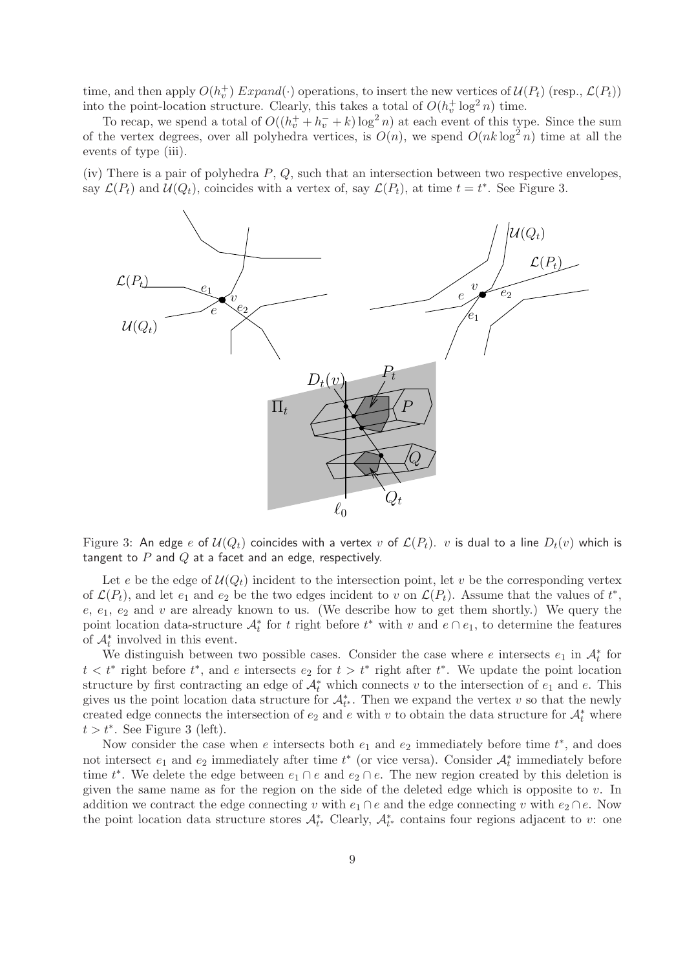time, and then apply  $O(h_v^+)$  Expand( $\cdot$ ) operations, to insert the new vertices of  $\mathcal{U}(P_t)$  (resp.,  $\mathcal{L}(P_t)$ ) into the point-location structure. Clearly, this takes a total of  $O(h_v^+ \log^2 n)$  time.

To recap, we spend a total of  $O((h_v^+ + h_v^- + k) \log^2 n)$  at each event of this type. Since the sum of the vertex degrees, over all polyhedra vertices, is  $O(n)$ , we spend  $O(nk \log^2 n)$  time at all the events of type (iii).

(iv) There is a pair of polyhedra  $P, Q$ , such that an intersection between two respective envelopes, say  $\mathcal{L}(P_t)$  and  $\mathcal{U}(Q_t)$ , coincides with a vertex of, say  $\mathcal{L}(P_t)$ , at time  $t = t^*$ . See Figure 3.



Figure 3: An edge e of  $U(Q_t)$  coincides with a vertex v of  $\mathcal{L}(P_t)$ . v is dual to a line  $D_t(v)$  which is tangent to  $P$  and  $Q$  at a facet and an edge, respectively.

Let e be the edge of  $\mathcal{U}(Q_t)$  incident to the intersection point, let v be the corresponding vertex of  $\mathcal{L}(P_t)$ , and let  $e_1$  and  $e_2$  be the two edges incident to v on  $\mathcal{L}(P_t)$ . Assume that the values of  $t^*$ ,  $e, e_1, e_2$  and v are already known to us. (We describe how to get them shortly.) We query the point location data-structure  $\mathcal{A}_t^*$  for t right before  $t^*$  with v and  $e \cap e_1$ , to determine the features of  $\mathcal{A}_t^*$  involved in this event.

We distinguish between two possible cases. Consider the case where e intersects  $e_1$  in  $\mathcal{A}_t^*$  for  $t < t^*$  right before  $t^*$ , and e intersects  $e_2$  for  $t > t^*$  right after  $t^*$ . We update the point location structure by first contracting an edge of  $\mathcal{A}_t^*$  which connects v to the intersection of  $e_1$  and  $e$ . This gives us the point location data structure for  $\mathcal{A}_{t^*}^*$ . Then we expand the vertex v so that the newly created edge connects the intersection of  $e_2$  and e with v to obtain the data structure for  $\mathcal{A}_t^*$  where  $t > t^*$ . See Figure 3 (left).

Now consider the case when  $e$  intersects both  $e_1$  and  $e_2$  immediately before time  $t^*$ , and does not intersect  $e_1$  and  $e_2$  immediately after time  $t^*$  (or vice versa). Consider  $\mathcal{A}_t^*$  immediately before time  $t^*$ . We delete the edge between  $e_1 \cap e$  and  $e_2 \cap e$ . The new region created by this deletion is given the same name as for the region on the side of the deleted edge which is opposite to v. In addition we contract the edge connecting v with  $e_1 \cap e$  and the edge connecting v with  $e_2 \cap e$ . Now the point location data structure stores  $\mathcal{A}_{t^*}^*$  Clearly,  $\mathcal{A}_{t^*}^*$  contains four regions adjacent to v: one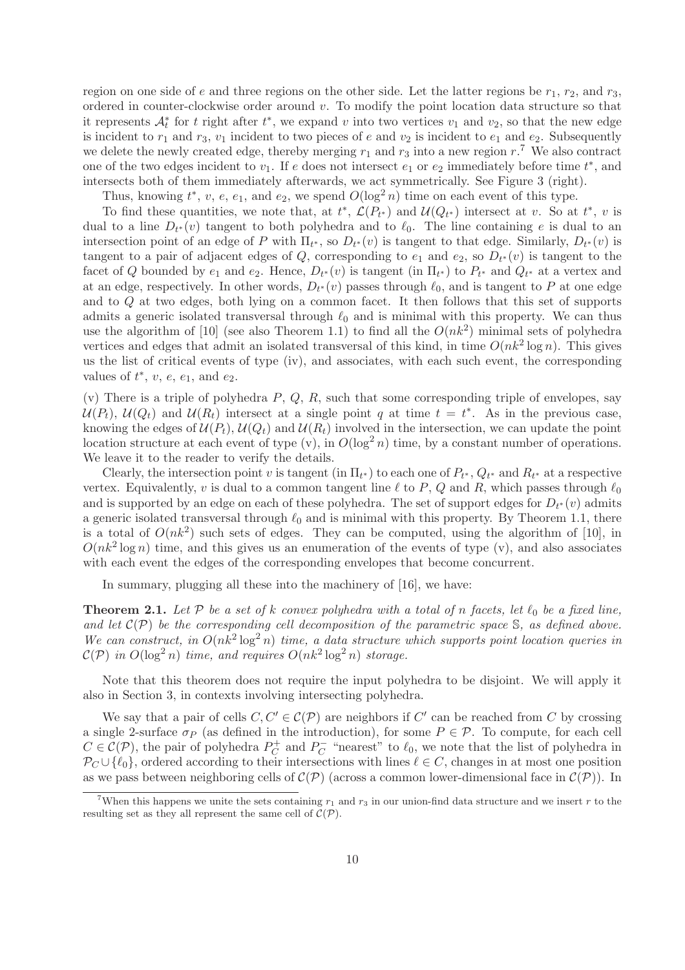region on one side of e and three regions on the other side. Let the latter regions be  $r_1$ ,  $r_2$ , and  $r_3$ , ordered in counter-clockwise order around v. To modify the point location data structure so that it represents  $\mathcal{A}_t^*$  for t right after  $t^*$ , we expand v into two vertices  $v_1$  and  $v_2$ , so that the new edge is incident to  $r_1$  and  $r_3$ ,  $v_1$  incident to two pieces of e and  $v_2$  is incident to  $e_1$  and  $e_2$ . Subsequently we delete the newly created edge, thereby merging  $r_1$  and  $r_3$  into a new region  $r_1$ . We also contract one of the two edges incident to  $v_1$ . If e does not intersect  $e_1$  or  $e_2$  immediately before time  $t^*$ , and intersects both of them immediately afterwards, we act symmetrically. See Figure 3 (right).

Thus, knowing  $t^*$ ,  $v$ ,  $e$ ,  $e_1$ , and  $e_2$ , we spend  $O(\log^2 n)$  time on each event of this type.

To find these quantities, we note that, at  $t^*$ ,  $\mathcal{L}(P_{t^*})$  and  $\mathcal{U}(Q_{t^*})$  intersect at v. So at  $t^*$ , v is dual to a line  $D_{t^*}(v)$  tangent to both polyhedra and to  $\ell_0$ . The line containing e is dual to an intersection point of an edge of P with  $\Pi_{t^*}$ , so  $D_{t^*}(v)$  is tangent to that edge. Similarly,  $D_{t^*}(v)$  is tangent to a pair of adjacent edges of Q, corresponding to  $e_1$  and  $e_2$ , so  $D_{t^*}(v)$  is tangent to the facet of Q bounded by  $e_1$  and  $e_2$ . Hence,  $D_{t^*}(v)$  is tangent (in  $\Pi_{t^*}$ ) to  $P_{t^*}$  and  $Q_{t^*}$  at a vertex and at an edge, respectively. In other words,  $D_{t^*}(v)$  passes through  $\ell_0$ , and is tangent to P at one edge and to Q at two edges, both lying on a common facet. It then follows that this set of supports admits a generic isolated transversal through  $\ell_0$  and is minimal with this property. We can thus use the algorithm of [10] (see also Theorem 1.1) to find all the  $O(nk^2)$  minimal sets of polyhedra vertices and edges that admit an isolated transversal of this kind, in time  $O(nk^2 \log n)$ . This gives us the list of critical events of type (iv), and associates, with each such event, the corresponding values of  $t^*$ ,  $v$ ,  $e$ ,  $e_1$ , and  $e_2$ .

(v) There is a triple of polyhedra  $P, Q, R$ , such that some corresponding triple of envelopes, say  $\mathcal{U}(P_t)$ ,  $\mathcal{U}(Q_t)$  and  $\mathcal{U}(R_t)$  intersect at a single point q at time  $t = t^*$ . As in the previous case, knowing the edges of  $\mathcal{U}(P_t)$ ,  $\mathcal{U}(Q_t)$  and  $\mathcal{U}(R_t)$  involved in the intersection, we can update the point location structure at each event of type (v), in  $O(\log^2 n)$  time, by a constant number of operations. We leave it to the reader to verify the details.

Clearly, the intersection point v is tangent (in  $\Pi_{t*}$ ) to each one of  $P_{t*}$ ,  $Q_{t*}$  and  $R_{t*}$  at a respective vertex. Equivalently, v is dual to a common tangent line  $\ell$  to P, Q and R, which passes through  $\ell_0$ and is supported by an edge on each of these polyhedra. The set of support edges for  $D_{t^*}(v)$  admits a generic isolated transversal through  $\ell_0$  and is minimal with this property. By Theorem 1.1, there is a total of  $O(nk^2)$  such sets of edges. They can be computed, using the algorithm of [10], in  $O(nk^2 \log n)$  time, and this gives us an enumeration of the events of type (v), and also associates with each event the edges of the corresponding envelopes that become concurrent.

In summary, plugging all these into the machinery of [16], we have:

**Theorem 2.1.** Let P be a set of k convex polyhedra with a total of n facets, let  $\ell_0$  be a fixed line, and let  $\mathcal{C}(\mathcal{P})$  be the corresponding cell decomposition of the parametric space S, as defined above. We can construct, in  $O(nk^2 \log^2 n)$  time, a data structure which supports point location queries in  $\mathcal{C}(\mathcal{P})$  in  $O(\log^2 n)$  time, and requires  $O(nk^2 \log^2 n)$  storage.

Note that this theorem does not require the input polyhedra to be disjoint. We will apply it also in Section 3, in contexts involving intersecting polyhedra.

We say that a pair of cells  $C, C' \in \mathcal{C}(\mathcal{P})$  are neighbors if  $C'$  can be reached from C by crossing a single 2-surface  $\sigma_P$  (as defined in the introduction), for some  $P \in \mathcal{P}$ . To compute, for each cell  $C \in \mathcal{C}(\mathcal{P})$ , the pair of polyhedra  $P_C^+$  $P_C^+$  and  $P_C^ C_{C}^{\dagger}$  "nearest" to  $\ell_0$ , we note that the list of polyhedra in  $\mathcal{P}_C \cup \{\ell_0\}$ , ordered according to their intersections with lines  $\ell \in C$ , changes in at most one position as we pass between neighboring cells of  $\mathcal{C}(\mathcal{P})$  (across a common lower-dimensional face in  $\mathcal{C}(\mathcal{P})$ ). In

<sup>&</sup>lt;sup>7</sup>When this happens we unite the sets containing  $r_1$  and  $r_3$  in our union-find data structure and we insert r to the resulting set as they all represent the same cell of  $\mathcal{C}(\mathcal{P})$ .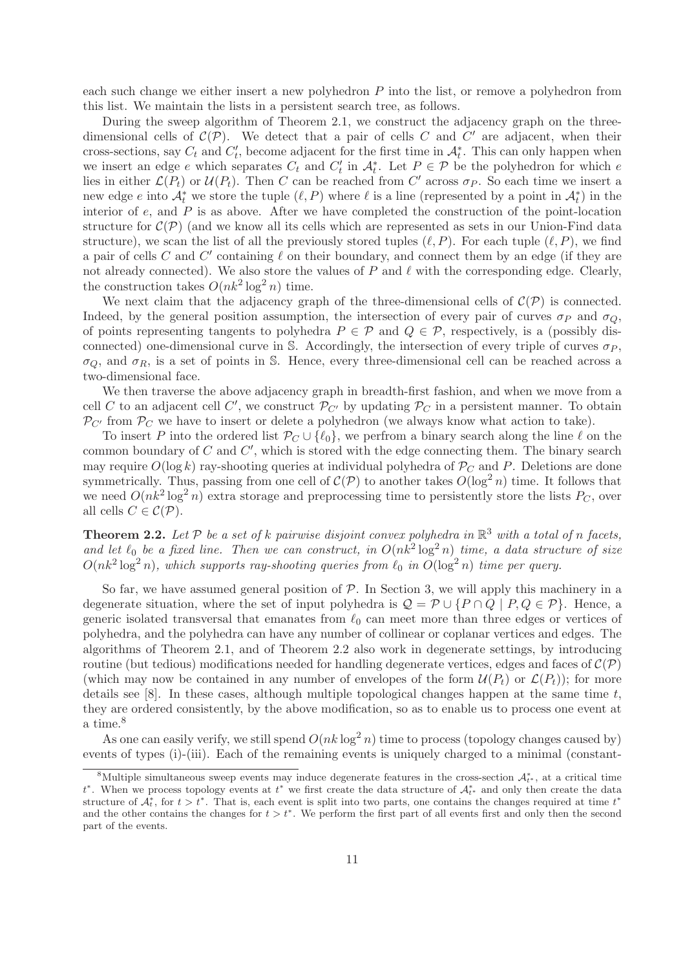each such change we either insert a new polyhedron P into the list, or remove a polyhedron from this list. We maintain the lists in a persistent search tree, as follows.

During the sweep algorithm of Theorem 2.1, we construct the adjacency graph on the threedimensional cells of  $\mathcal{C}(\mathcal{P})$ . We detect that a pair of cells C and C' are adjacent, when their cross-sections, say  $C_t$  and  $C'_t$ , become adjacent for the first time in  $\mathcal{A}_t^*$ . This can only happen when we insert an edge e which separates  $C_t$  and  $C'_t$  in  $\mathcal{A}_t^*$ . Let  $P \in \mathcal{P}$  be the polyhedron for which e lies in either  $\mathcal{L}(P_t)$  or  $\mathcal{U}(P_t)$ . Then C can be reached from C' across  $\sigma_P$ . So each time we insert a new edge e into  $\mathcal{A}_t^*$  we store the tuple  $(\ell, P)$  where  $\ell$  is a line (represented by a point in  $\mathcal{A}_t^*$ ) in the interior of  $e$ , and  $P$  is as above. After we have completed the construction of the point-location structure for  $\mathcal{C}(\mathcal{P})$  (and we know all its cells which are represented as sets in our Union-Find data structure), we scan the list of all the previously stored tuples  $(\ell, P)$ . For each tuple  $(\ell, P)$ , we find a pair of cells C and C' containing  $\ell$  on their boundary, and connect them by an edge (if they are not already connected). We also store the values of P and  $\ell$  with the corresponding edge. Clearly, the construction takes  $O(nk^2 \log^2 n)$  time.

We next claim that the adjacency graph of the three-dimensional cells of  $\mathcal{C}(\mathcal{P})$  is connected. Indeed, by the general position assumption, the intersection of every pair of curves  $\sigma_P$  and  $\sigma_Q$ , of points representing tangents to polyhedra  $P \in \mathcal{P}$  and  $Q \in \mathcal{P}$ , respectively, is a (possibly disconnected) one-dimensional curve in S. Accordingly, the intersection of every triple of curves  $\sigma_P$ ,  $\sigma_Q$ , and  $\sigma_R$ , is a set of points in S. Hence, every three-dimensional cell can be reached across a two-dimensional face.

We then traverse the above adjacency graph in breadth-first fashion, and when we move from a cell C to an adjacent cell C', we construct  $\mathcal{P}_{C'}$  by updating  $\mathcal{P}_C$  in a persistent manner. To obtain  $\mathcal{P}_{C'}$  from  $\mathcal{P}_C$  we have to insert or delete a polyhedron (we always know what action to take).

To insert P into the ordered list  $\mathcal{P}_C \cup \{\ell_0\}$ , we perfrom a binary search along the line  $\ell$  on the common boundary of  $C$  and  $C'$ , which is stored with the edge connecting them. The binary search may require  $O(\log k)$  ray-shooting queries at individual polyhedra of  $P_C$  and P. Deletions are done symmetrically. Thus, passing from one cell of  $\mathcal{C}(\mathcal{P})$  to another takes  $O(\log^2 n)$  time. It follows that we need  $O(nk^2\log^2 n)$  extra storage and preprocessing time to persistently store the lists  $P_C$ , over all cells  $C \in \mathcal{C}(\mathcal{P})$ .

**Theorem 2.2.** Let  $P$  be a set of k pairwise disjoint convex polyhedra in  $\mathbb{R}^3$  with a total of n facets, and let  $\ell_0$  be a fixed line. Then we can construct, in  $O(nk^2 \log^2 n)$  time, a data structure of size  $O(nk^2 \log^2 n)$ , which supports ray-shooting queries from  $\ell_0$  in  $O(\log^2 n)$  time per query.

So far, we have assumed general position of  $P$ . In Section 3, we will apply this machinery in a degenerate situation, where the set of input polyhedra is  $\mathcal{Q} = \mathcal{P} \cup \{P \cap Q \mid P, Q \in \mathcal{P}\}\.$  Hence, a generic isolated transversal that emanates from  $\ell_0$  can meet more than three edges or vertices of polyhedra, and the polyhedra can have any number of collinear or coplanar vertices and edges. The algorithms of Theorem 2.1, and of Theorem 2.2 also work in degenerate settings, by introducing routine (but tedious) modifications needed for handling degenerate vertices, edges and faces of  $\mathcal{C}(\mathcal{P})$ (which may now be contained in any number of envelopes of the form  $\mathcal{U}(P_t)$  or  $\mathcal{L}(P_t)$ ); for more details see [8]. In these cases, although multiple topological changes happen at the same time  $t$ , they are ordered consistently, by the above modification, so as to enable us to process one event at a time.<sup>8</sup>

As one can easily verify, we still spend  $O(nk \log^2 n)$  time to process (topology changes caused by) events of types (i)-(iii). Each of the remaining events is uniquely charged to a minimal (constant-

<sup>&</sup>lt;sup>8</sup>Multiple simultaneous sweep events may induce degenerate features in the cross-section  $\mathcal{A}_{t^*}^*$ , at a critical time  $t^*$ . When we process topology events at  $t^*$  we first create the data structure of  $\mathcal{A}_{t^*}^*$  and only then create the data structure of  $\mathcal{A}_t^*$ , for  $t > t^*$ . That is, each event is split into two parts, one contains the changes required at time  $t^*$ and the other contains the changes for  $t > t^*$ . We perform the first part of all events first and only then the second part of the events.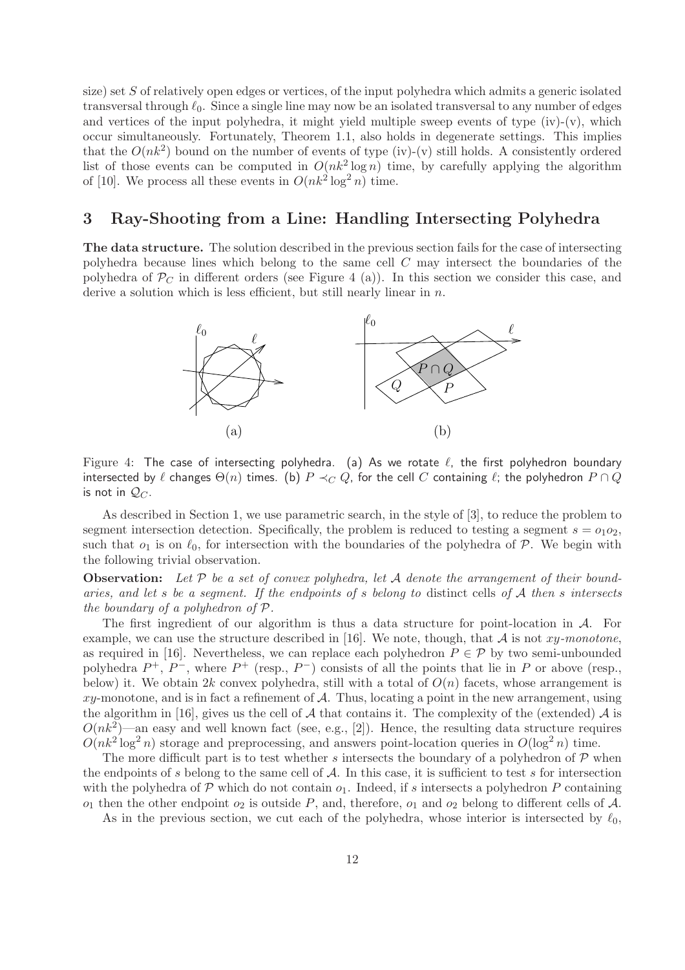size) set S of relatively open edges or vertices, of the input polyhedra which admits a generic isolated transversal through  $\ell_0$ . Since a single line may now be an isolated transversal to any number of edges and vertices of the input polyhedra, it might yield multiple sweep events of type  $(iv)-(v)$ , which occur simultaneously. Fortunately, Theorem 1.1, also holds in degenerate settings. This implies that the  $O(nk^2)$  bound on the number of events of type (iv)-(v) still holds. A consistently ordered list of those events can be computed in  $O(nk^2 \log n)$  time, by carefully applying the algorithm of [10]. We process all these events in  $O(nk^2 \log^2 n)$  time.

## 3 Ray-Shooting from a Line: Handling Intersecting Polyhedra

The data structure. The solution described in the previous section fails for the case of intersecting polyhedra because lines which belong to the same cell C may intersect the boundaries of the polyhedra of  $P<sub>C</sub>$  in different orders (see Figure 4 (a)). In this section we consider this case, and derive a solution which is less efficient, but still nearly linear in  $n$ .



Figure 4: The case of intersecting polyhedra. (a) As we rotate  $\ell$ , the first polyhedron boundary intersected by  $\ell$  changes  $\Theta(n)$  times. (b)  $P \prec_C Q$ , for the cell C containing  $\ell$ ; the polyhedron  $P \cap Q$ is not in  $\mathcal{Q}_C$ .

As described in Section 1, we use parametric search, in the style of [3], to reduce the problem to segment intersection detection. Specifically, the problem is reduced to testing a segment  $s = o_1 o_2$ , such that  $o_1$  is on  $\ell_0$ , for intersection with the boundaries of the polyhedra of  $P$ . We begin with the following trivial observation.

**Observation:** Let  $P$  be a set of convex polyhedra, let  $A$  denote the arrangement of their boundaries, and let s be a segment. If the endpoints of s belong to distinct cells of  $A$  then s intersects the boundary of a polyhedron of P.

The first ingredient of our algorithm is thus a data structure for point-location in  $A$ . For example, we can use the structure described in [16]. We note, though, that  $A$  is not  $xy$ -monotone, as required in [16]. Nevertheless, we can replace each polyhedron  $P \in \mathcal{P}$  by two semi-unbounded polyhedra  $P^+$ ,  $P^-$ , where  $P^+$  (resp.,  $P^-$ ) consists of all the points that lie in P or above (resp., below) it. We obtain 2k convex polyhedra, still with a total of  $O(n)$  facets, whose arrangement is xy-monotone, and is in fact a refinement of  $A$ . Thus, locating a point in the new arrangement, using the algorithm in [16], gives us the cell of A that contains it. The complexity of the (extended) A is  $O(nk^2)$ —an easy and well known fact (see, e.g., [2]). Hence, the resulting data structure requires  $O(nk^2 \log^2 n)$  storage and preprocessing, and answers point-location queries in  $O(\log^2 n)$  time.

The more difficult part is to test whether s intersects the boundary of a polyhedron of  $\mathcal P$  when the endpoints of s belong to the same cell of  $A$ . In this case, it is sufficient to test s for intersection with the polyhedra of  $\mathcal P$  which do not contain  $o_1$ . Indeed, if s intersects a polyhedron P containing  $o_1$  then the other endpoint  $o_2$  is outside P, and, therefore,  $o_1$  and  $o_2$  belong to different cells of A.

As in the previous section, we cut each of the polyhedra, whose interior is intersected by  $\ell_0$ ,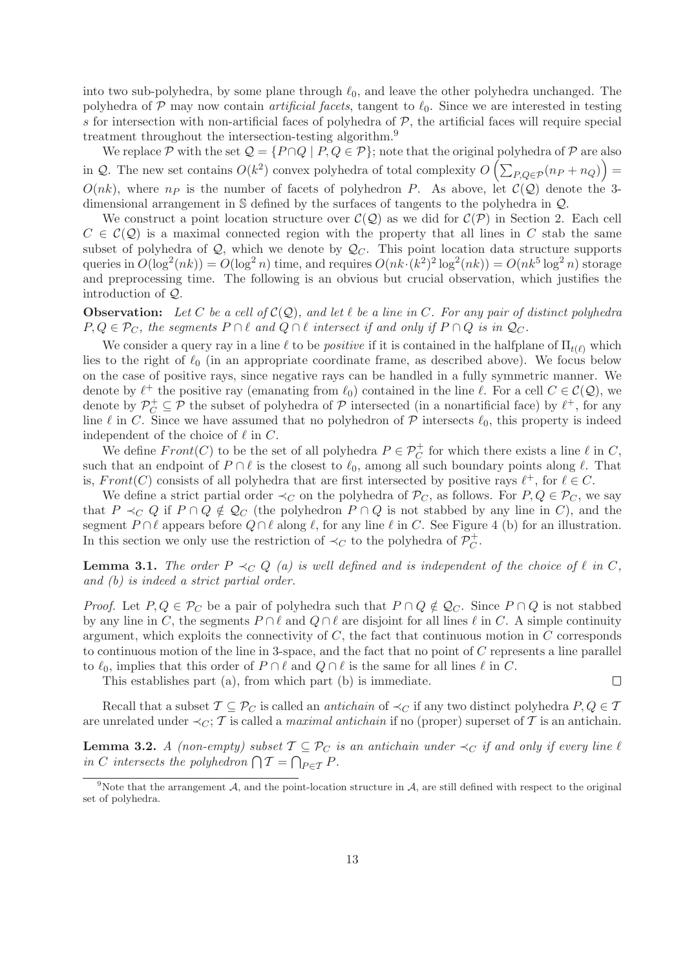into two sub-polyhedra, by some plane through  $\ell_0$ , and leave the other polyhedra unchanged. The polyhedra of  $P$  may now contain *artificial facets*, tangent to  $\ell_0$ . Since we are interested in testing s for intersection with non-artificial faces of polyhedra of  $P$ , the artificial faces will require special treatment throughout the intersection-testing algorithm.<sup>9</sup>

We replace P with the set  $\mathcal{Q} = \{P \cap Q \mid P, Q \in \mathcal{P}\}$ ; note that the original polyhedra of P are also in Q. The new set contains  $O(k^2)$  convex polyhedra of total complexity  $O\left(\sum_{P,Q\in\mathcal{P}}(n_P+n_Q)\right)$  $O(nk)$ , where  $n_p$  is the number of facets of polyhedron P. As above, let  $C(Q)$  denote the 3dimensional arrangement in S defined by the surfaces of tangents to the polyhedra in Q.

We construct a point location structure over  $\mathcal{C}(\mathcal{Q})$  as we did for  $\mathcal{C}(\mathcal{P})$  in Section 2. Each cell  $C \in \mathcal{C}(\mathcal{Q})$  is a maximal connected region with the property that all lines in C stab the same subset of polyhedra of  $Q$ , which we denote by  $Q_C$ . This point location data structure supports queries in  $O(\log^2(nk)) = O(\log^2 n)$  time, and requires  $O(nk \cdot (k^2)^2 \log^2(nk)) = O(nk^5 \log^2 n)$  storage and preprocessing time. The following is an obvious but crucial observation, which justifies the introduction of Q.

**Observation:** Let C be a cell of  $C(Q)$ , and let  $\ell$  be a line in C. For any pair of distinct polyhedra  $P, Q \in \mathcal{P}_C$ , the segments  $P \cap \ell$  and  $Q \cap \ell$  intersect if and only if  $P \cap Q$  is in  $\mathcal{Q}_C$ .

We consider a query ray in a line  $\ell$  to be *positive* if it is contained in the halfplane of  $\Pi_{t(\ell)}$  which lies to the right of  $\ell_0$  (in an appropriate coordinate frame, as described above). We focus below on the case of positive rays, since negative rays can be handled in a fully symmetric manner. We denote by  $\ell^+$  the positive ray (emanating from  $\ell_0$ ) contained in the line  $\ell$ . For a cell  $C \in \mathcal{C}(\mathcal{Q})$ , we denote by  $\mathcal{P}_C^+ \subseteq \mathcal{P}$  the subset of polyhedra of  $\mathcal P$  intersected (in a nonartificial face) by  $\ell^+$ , for any line  $\ell$  in C. Since we have assumed that no polyhedron of  $\mathcal P$  intersects  $\ell_0$ , this property is indeed independent of the choice of  $\ell$  in  $C$ .

We define  $Front(C)$  to be the set of all polyhedra  $P \in \mathcal{P}^+_{C}$  for which there exists a line  $\ell$  in C, such that an endpoint of  $P \cap \ell$  is the closest to  $\ell_0$ , among all such boundary points along  $\ell$ . That is,  $Front(C)$  consists of all polyhedra that are first intersected by positive rays  $\ell^+$ , for  $\ell \in C$ .

We define a strict partial order  $\prec_C$  on the polyhedra of  $\mathcal{P}_C$ , as follows. For  $P, Q \in \mathcal{P}_C$ , we say that  $P \prec_C Q$  if  $P \cap Q \notin \mathcal{Q}_C$  (the polyhedron  $P \cap Q$  is not stabbed by any line in C), and the segment P ∩  $\ell$  appears before  $Q \cap \ell$  along  $\ell$ , for any line  $\ell$  in C. See Figure 4 (b) for an illustration. In this section we only use the restriction of  $\prec_C$  to the polyhedra of  $\mathcal{P}_C^+$  $_C^+$ .

**Lemma 3.1.** The order  $P \prec_C Q$  (a) is well defined and is independent of the choice of  $\ell$  in C, and (b) is indeed a strict partial order.

*Proof.* Let  $P, Q \in \mathcal{P}_C$  be a pair of polyhedra such that  $P \cap Q \notin \mathcal{Q}_C$ . Since  $P \cap Q$  is not stabbed by any line in C, the segments  $P \cap \ell$  and  $Q \cap \ell$  are disjoint for all lines  $\ell$  in C. A simple continuity argument, which exploits the connectivity of  $C$ , the fact that continuous motion in  $C$  corresponds to continuous motion of the line in 3-space, and the fact that no point of  $C$  represents a line parallel to  $\ell_0$ , implies that this order of  $P \cap \ell$  and  $Q \cap \ell$  is the same for all lines  $\ell$  in C.

This establishes part (a), from which part (b) is immediate.

Recall that a subset  $\mathcal{T} \subseteq \mathcal{P}_C$  is called an *antichain* of  $\prec_C$  if any two distinct polyhedra  $P, Q \in \mathcal{T}$ are unrelated under  $\prec_C$ ; T is called a *maximal antichain* if no (proper) superset of T is an antichain.

**Lemma 3.2.** A (non-empty) subset  $\mathcal{T} \subseteq \mathcal{P}_C$  is an antichain under  $\prec_C$  if and only if every line  $\ell$ in C intersects the polyhedron  $\bigcap \mathcal{T} = \bigcap_{P \in \mathcal{T}} P$ .

 $\Box$ 

<sup>&</sup>lt;sup>9</sup>Note that the arrangement A, and the point-location structure in A, are still defined with respect to the original set of polyhedra.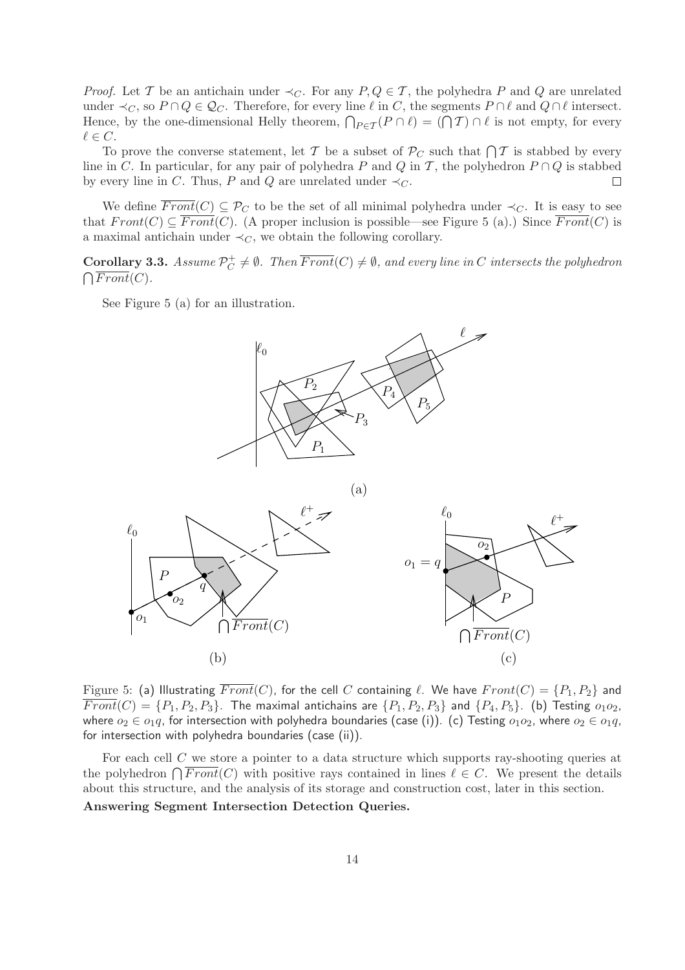*Proof.* Let T be an antichain under  $\prec_C$ . For any  $P, Q \in T$ , the polyhedra P and Q are unrelated under  $\prec_C$ , so  $P \cap Q \in \mathcal{Q}_C$ . Therefore, for every line  $\ell$  in C, the segments  $P \cap \ell$  and  $Q \cap \ell$  intersect. Hence, by the one-dimensional Helly theorem,  $\bigcap_{P \in \mathcal{T}}(P \cap \ell) = (\bigcap \mathcal{T}) \cap \ell$  is not empty, for every  $\ell \in C$ .

To prove the converse statement, let T be a subset of  $P_C$  such that  $\bigcap \mathcal{T}$  is stabbed by every line in C. In particular, for any pair of polyhedra P and Q in T, the polyhedron  $P \cap Q$  is stabbed by every line in C. Thus, P and Q are unrelated under  $\prec_C$ .  $\Box$ 

We define  $\overline{Front}(C) \subseteq \mathcal{P}_C$  to be the set of all minimal polyhedra under  $\prec_C$ . It is easy to see that  $Front(C) \subseteq \overline{Front(C)}$ . (A proper inclusion is possible—see Figure 5 (a).) Since  $\overline{Front(C)}$  is a maximal antichain under  $\prec_C$ , we obtain the following corollary.

Corollary 3.3. Assume  $\mathcal{P}_C^+$  $C^+_C \neq \emptyset$ . Then  $Front(C) \neq \emptyset$ , and every line in C intersects the polyhedron  $\bigcap Front(C)$ .

See Figure 5 (a) for an illustration.



Figure 5: (a) Illustrating  $\overline{Front}(C)$ , for the cell C containing  $\ell$ . We have  $Front(C) = \{P_1, P_2\}$  and  $\overline{Front}(C) = \{P_1, P_2, P_3\}$ . The maximal antichains are  $\{P_1, P_2, P_3\}$  and  $\{P_4, P_5\}$ . (b) Testing  $o_1o_2$ , where  $o_2 \in o_1q$ , for intersection with polyhedra boundaries (case (i)). (c) Testing  $o_1o_2$ , where  $o_2 \in o_1q$ , for intersection with polyhedra boundaries (case (ii)).

For each cell C we store a pointer to a data structure which supports ray-shooting queries at the polyhedron  $\bigcap Front(C)$  with positive rays contained in lines  $\ell \in C$ . We present the details about this structure, and the analysis of its storage and construction cost, later in this section.

Answering Segment Intersection Detection Queries.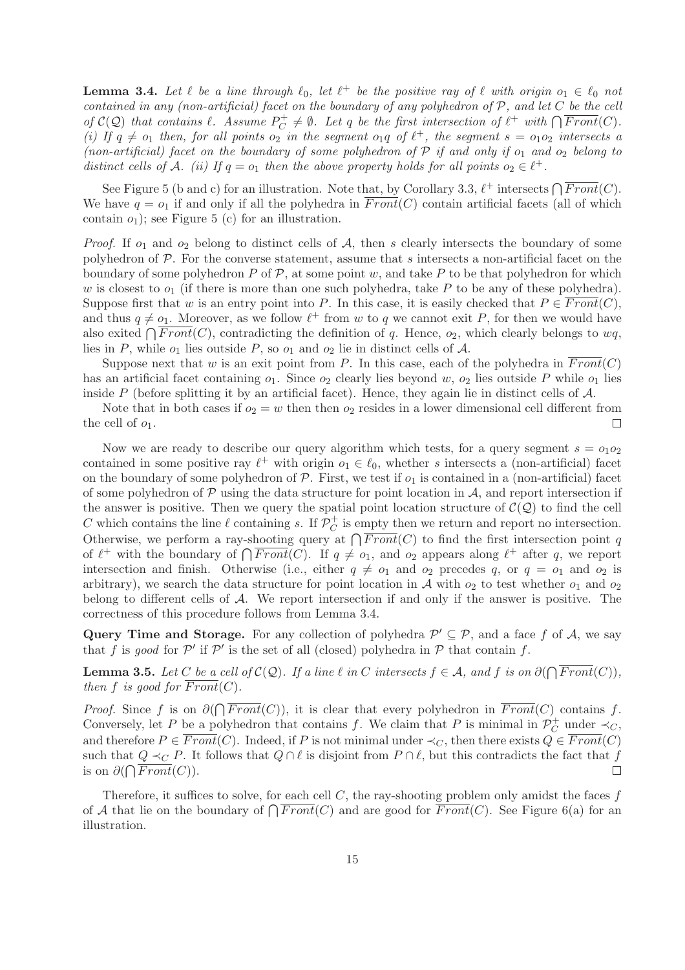**Lemma 3.4.** Let  $\ell$  be a line through  $\ell_0$ , let  $\ell^+$  be the positive ray of  $\ell$  with origin  $o_1 \in \ell_0$  not contained in any (non-artificial) facet on the boundary of any polyhedron of  $P$ , and let  $C$  be the cell of  $\mathcal{C}(\mathcal{Q})$  that contains  $\ell$ . Assume  $P_C^+$  $C^+$   $\neq \emptyset$ . Let q be the first intersection of  $\ell^+$  with  $\bigcap \overline{Front}(C)$ . (i) If  $q \neq o_1$  then, for all points  $o_2$  in the segment  $o_1q$  of  $\ell^+$ , the segment  $s = o_1o_2$  intersects a (non-artificial) facet on the boundary of some polyhedron of  $P$  if and only if  $o_1$  and  $o_2$  belong to distinct cells of A. (ii) If  $q = o_1$  then the above property holds for all points  $o_2 \in \ell^+$ .

See Figure 5 (b and c) for an illustration. Note that, by Corollary 3.3,  $\ell^+$  intersects  $\bigcap \overline{Front}(C)$ . We have  $q = o_1$  if and only if all the polyhedra in  $\overline{Front}(C)$  contain artificial facets (all of which contain  $o_1$ ); see Figure 5 (c) for an illustration.

*Proof.* If  $o_1$  and  $o_2$  belong to distinct cells of A, then s clearly intersects the boundary of some polyhedron of  $P$ . For the converse statement, assume that s intersects a non-artificial facet on the boundary of some polyhedron P of  $P$ , at some point w, and take P to be that polyhedron for which w is closest to  $o_1$  (if there is more than one such polyhedra, take P to be any of these polyhedra). Suppose first that w is an entry point into P. In this case, it is easily checked that  $P \in \overline{Front(C)}$ , and thus  $q \neq o_1$ . Moreover, as we follow  $\ell^+$  from w to q we cannot exit P, for then we would have also exited  $\bigcap Front(C)$ , contradicting the definition of q. Hence,  $o_2$ , which clearly belongs to  $wq$ , lies in P, while  $o_1$  lies outside P, so  $o_1$  and  $o_2$  lie in distinct cells of A.

Suppose next that w is an exit point from P. In this case, each of the polyhedra in  $\overline{Front}(C)$ has an artificial facet containing  $o_1$ . Since  $o_2$  clearly lies beyond w,  $o_2$  lies outside P while  $o_1$  lies inside  $P$  (before splitting it by an artificial facet). Hence, they again lie in distinct cells of  $\mathcal{A}$ .

Note that in both cases if  $o_2 = w$  then then  $o_2$  resides in a lower dimensional cell different from the cell of  $o_1$ .  $\Box$ 

Now we are ready to describe our query algorithm which tests, for a query segment  $s = o_1o_2$ contained in some positive ray  $\ell^+$  with origin  $o_1 \in \ell_0$ , whether s intersects a (non-artificial) facet on the boundary of some polyhedron of  $P$ . First, we test if  $o_1$  is contained in a (non-artificial) facet of some polyhedron of  $\mathcal P$  using the data structure for point location in  $\mathcal A$ , and report intersection if the answer is positive. Then we query the spatial point location structure of  $\mathcal{C}(\mathcal{Q})$  to find the cell C which contains the line  $\ell$  containing s. If  $\mathcal{P}_C^+$  $\sigma$  is empty then we return and report no intersection. Otherwise, we perform a ray-shooting query at  $\bigcap Front(C)$  to find the first intersection point q of  $\ell^+$  with the boundary of  $\bigcap \overline{Front}(C)$ . If  $q \neq o_1$ , and  $o_2$  appears along  $\ell^+$  after q, we report intersection and finish. Otherwise (i.e., either  $q \neq o_1$  and  $o_2$  precedes q, or  $q = o_1$  and  $o_2$  is arbitrary), we search the data structure for point location in A with  $o_2$  to test whether  $o_1$  and  $o_2$ belong to different cells of A. We report intersection if and only if the answer is positive. The correctness of this procedure follows from Lemma 3.4.

Query Time and Storage. For any collection of polyhedra  $\mathcal{P}' \subseteq \mathcal{P}$ , and a face f of A, we say that f is good for  $\mathcal{P}'$  if  $\mathcal{P}'$  is the set of all (closed) polyhedra in  $\mathcal P$  that contain f.

**Lemma 3.5.** Let C be a cell of  $C(Q)$ . If a line  $\ell$  in C intersects  $f \in A$ , and f is on  $\partial(\bigcap Front(C)),$ then f is good for  $\overline{Front}(C)$ .

*Proof.* Since f is on  $\partial(\bigcap Front(C))$ , it is clear that every polyhedron in  $Front(C)$  contains f. Conversely, let P be a polyhedron that contains f. We claim that P is minimal in  $\mathcal{P}_C^+$  $\overline{C}$  under  $\prec_C$ , and therefore  $P \in \overline{Front}(C)$ . Indeed, if P is not minimal under  $\prec_C$ , then there exists  $Q \in \overline{Front}(C)$ such that  $Q \prec_C P$ . It follows that  $Q \cap \ell$  is disjoint from  $P \cap \ell$ , but this contradicts the fact that f is on  $\partial(\bigcap Front(C)).$  $\Box$ 

Therefore, it suffices to solve, for each cell  $C$ , the ray-shooting problem only amidst the faces  $f$ of A that lie on the boundary of  $\bigcap Front(C)$  and are good for  $Front(C)$ . See Figure 6(a) for an illustration.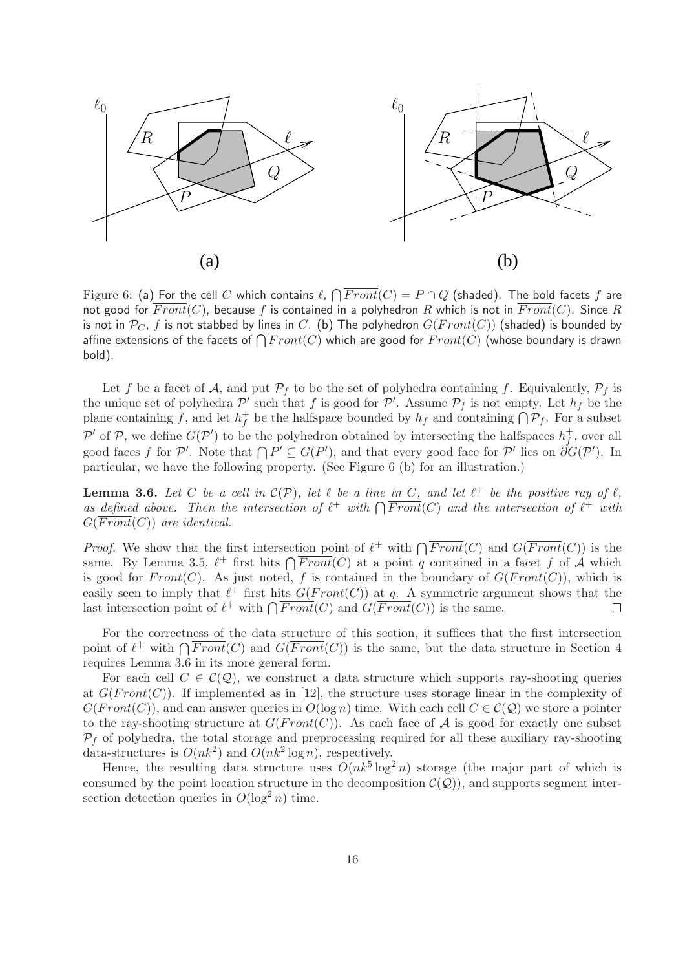

Figure 6: (a) For the cell  $C$  which contains  $\ell$ ,  $\bigcap Front(C)=P\cap Q$  (shaded). The bold facets  $f$  are not good for  $\overline{Front}(C)$ , because f is contained in a polyhedron R which is not in  $\overline{Front}(C)$ . Since R is not in  $\mathcal{P}_C$ , f is not stabbed by lines in C. (b) The polyhedron  $G(\overline{Front}(C))$  (shaded) is bounded by affine extensions of the facets of  $\bigcap Front(C)$  which are good for  $Front(C)$  (whose boundary is drawn bold).

Let f be a facet of A, and put  $\mathcal{P}_f$  to be the set of polyhedra containing f. Equivalently,  $\mathcal{P}_f$  is the unique set of polyhedra  $\mathcal{P}'$  such that f is good for  $\mathcal{P}'$ . Assume  $\mathcal{P}_f$  is not empty. Let  $h_f$  be the plane containing f, and let  $h_f^+$ <sup>+</sup> be the halfspace bounded by  $h_f$  and containing  $\bigcap \mathcal{P}_f$ . For a subset P' of P, we define  $G(\mathcal{P}')$  to be the polyhedron obtained by intersecting the halfspaces  $h_f^+$  $f$ , over all good faces f for P'. Note that  $\bigcap P' \subseteq G(P')$ , and that every good face for P' lies on  $\partial G(P')$ . In particular, we have the following property. (See Figure 6 (b) for an illustration.)

**Lemma 3.6.** Let C be a cell in  $\mathcal{C}(\mathcal{P})$ , let  $\ell$  be a line in C, and let  $\ell^+$  be the positive ray of  $\ell$ , as defined above. Then the intersection of  $\ell^+$  with  $\bigcap \overline{Front}(C)$  and the intersection of  $\ell^+$  with  $G(\overline{Front}(C))$  are identical.

*Proof.* We show that the first intersection point of  $\ell^+$  with  $\bigcap \overline{Front}(C)$  and  $G(\overline{Front}(C))$  is the same. By Lemma 3.5,  $\ell^+$  first hits  $\bigcap \overline{Front}(C)$  at a point q contained in a facet f of A which is good for  $\overline{Front}(C)$ . As just noted, f is contained in the boundary of  $G(\overline{Front}(C))$ , which is easily seen to imply that  $\ell^+$  first hits  $G(\overline{Front}(C))$  at q. A symmetric argument shows that the last intersection point of  $\ell^+$  with  $\bigcap \overline{Front}(C)$  and  $G(\overline{Front}(C))$  is the same.  $\Box$ 

For the correctness of the data structure of this section, it suffices that the first intersection point of  $\ell^+$  with  $\bigcap \overline{Front}(C)$  and  $G(\overline{Front}(C))$  is the same, but the data structure in Section 4 requires Lemma 3.6 in its more general form.

For each cell  $C \in \mathcal{C}(\mathcal{Q})$ , we construct a data structure which supports ray-shooting queries at  $G(\overline{Front}(C))$ . If implemented as in [12], the structure uses storage linear in the complexity of  $G(Front(C))$ , and can answer queries in  $O(\log n)$  time. With each cell  $C \in C(\mathcal{Q})$  we store a pointer to the ray-shooting structure at  $G(\overline{Front}(C))$ . As each face of A is good for exactly one subset  $P_f$  of polyhedra, the total storage and preprocessing required for all these auxiliary ray-shooting data-structures is  $O(nk^2)$  and  $O(nk^2 \log n)$ , respectively.

Hence, the resulting data structure uses  $O(nk^5 \log^2 n)$  storage (the major part of which is consumed by the point location structure in the decomposition  $\mathcal{C}(\mathcal{Q})$ , and supports segment intersection detection queries in  $O(\log^2 n)$  time.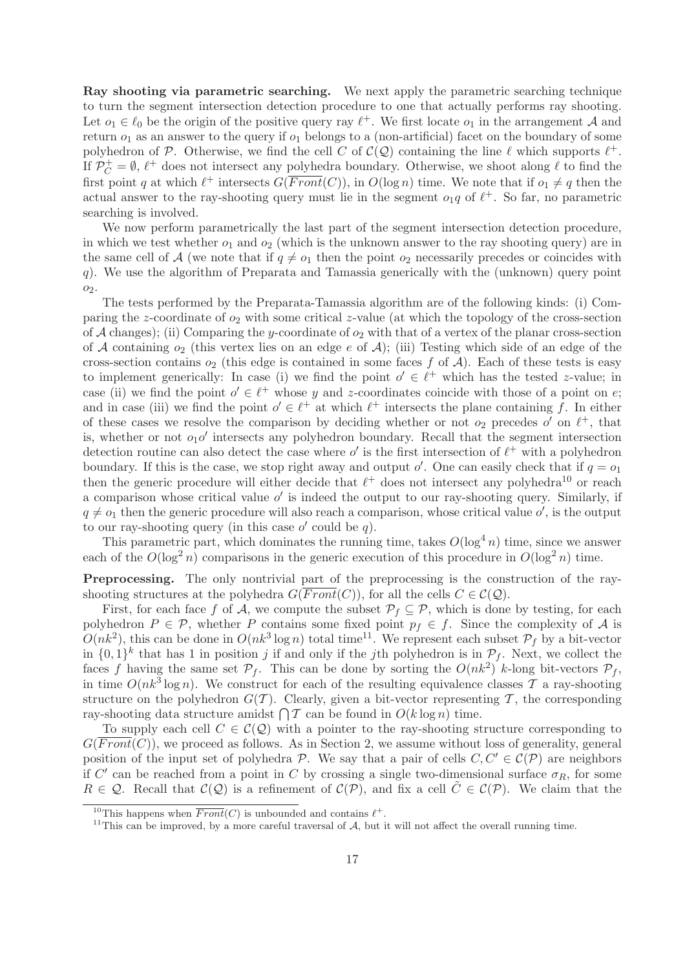Ray shooting via parametric searching. We next apply the parametric searching technique to turn the segment intersection detection procedure to one that actually performs ray shooting. Let  $o_1 \in \ell_0$  be the origin of the positive query ray  $\ell^+$ . We first locate  $o_1$  in the arrangement A and return  $o_1$  as an answer to the query if  $o_1$  belongs to a (non-artificial) facet on the boundary of some polyhedron of P. Otherwise, we find the cell C of  $\mathcal{C}(\mathcal{Q})$  containing the line  $\ell$  which supports  $\ell^+$ . If  $\mathcal{P}_C^+ = \emptyset$ ,  $\ell^+$  does not intersect any polyhedra boundary. Otherwise, we shoot along  $\ell$  to find the first point q at which  $\ell^+$  intersects  $G(\overline{Front}(C))$ , in  $O(\log n)$  time. We note that if  $o_1 \neq q$  then the actual answer to the ray-shooting query must lie in the segment  $o_1q$  of  $\ell^+$ . So far, no parametric searching is involved.

We now perform parametrically the last part of the segment intersection detection procedure, in which we test whether  $o_1$  and  $o_2$  (which is the unknown answer to the ray shooting query) are in the same cell of A (we note that if  $q \neq o_1$  then the point  $o_2$  necessarily precedes or coincides with q). We use the algorithm of Preparata and Tamassia generically with the (unknown) query point  $O_2$ .

The tests performed by the Preparata-Tamassia algorithm are of the following kinds: (i) Comparing the z-coordinate of  $o_2$  with some critical z-value (at which the topology of the cross-section of A changes); (ii) Comparing the y-coordinate of  $o_2$  with that of a vertex of the planar cross-section of A containing  $o_2$  (this vertex lies on an edge e of A); (iii) Testing which side of an edge of the cross-section contains  $o_2$  (this edge is contained in some faces f of A). Each of these tests is easy to implement generically: In case (i) we find the point  $o' \in \ell^+$  which has the tested z-value; in case (ii) we find the point  $o' \in \ell^+$  whose y and z-coordinates coincide with those of a point on e; and in case (iii) we find the point  $o' \in \ell^+$  at which  $\ell^+$  intersects the plane containing f. In either of these cases we resolve the comparison by deciding whether or not  $o_2$  precedes  $o'$  on  $\ell^+$ , that is, whether or not  $o_1 o'$  intersects any polyhedron boundary. Recall that the segment intersection detection routine can also detect the case where  $o'$  is the first intersection of  $\ell^+$  with a polyhedron boundary. If this is the case, we stop right away and output  $o'$ . One can easily check that if  $q = o_1$ then the generic procedure will either decide that  $\ell^+$  does not intersect any polyhedra<sup>10</sup> or reach a comparison whose critical value  $o'$  is indeed the output to our ray-shooting query. Similarly, if  $q \neq o_1$  then the generic procedure will also reach a comparison, whose critical value  $o'$ , is the output to our ray-shooting query (in this case  $o'$  could be  $q$ ).

This parametric part, which dominates the running time, takes  $O(\log^4 n)$  time, since we answer each of the  $O(\log^2 n)$  comparisons in the generic execution of this procedure in  $O(\log^2 n)$  time.

Preprocessing. The only nontrivial part of the preprocessing is the construction of the rayshooting structures at the polyhedra  $G(Front(C))$ , for all the cells  $C \in C(\mathcal{Q})$ .

First, for each face f of A, we compute the subset  $\mathcal{P}_f \subseteq \mathcal{P}$ , which is done by testing, for each polyhedron  $P \in \mathcal{P}$ , whether P contains some fixed point  $p_f \in f$ . Since the complexity of A is  $O(nk^2)$ , this can be done in  $O(nk^3 \log n)$  total time<sup>11</sup>. We represent each subset  $P_f$  by a bit-vector in  $\{0,1\}^k$  that has 1 in position j if and only if the jth polyhedron is in  $\mathcal{P}_f$ . Next, we collect the faces f having the same set  $P_f$ . This can be done by sorting the  $O(nk^2)$  k-long bit-vectors  $P_f$ , in time  $O(nk^3 \log n)$ . We construct for each of the resulting equivalence classes T a ray-shooting structure on the polyhedron  $G(\mathcal{T})$ . Clearly, given a bit-vector representing  $\mathcal{T}$ , the corresponding ray-shooting data structure amidst  $\bigcap \mathcal{T}$  can be found in  $O(k \log n)$  time.

To supply each cell  $C \in \mathcal{C}(\mathcal{Q})$  with a pointer to the ray-shooting structure corresponding to  $G(Front(C))$ , we proceed as follows. As in Section 2, we assume without loss of generality, general position of the input set of polyhedra P. We say that a pair of cells  $C, C' \in C(\mathcal{P})$  are neighbors if C' can be reached from a point in C by crossing a single two-dimensional surface  $\sigma_R$ , for some  $R \in \mathcal{Q}$ . Recall that  $\mathcal{C}(\mathcal{Q})$  is a refinement of  $\mathcal{C}(\mathcal{P})$ , and fix a cell  $\tilde{C} \in \mathcal{C}(\mathcal{P})$ . We claim that the

<sup>&</sup>lt;sup>10</sup>This happens when  $\overline{Front}(C)$  is unbounded and contains  $\ell^+$ .

<sup>&</sup>lt;sup>11</sup>This can be improved, by a more careful traversal of  $A$ , but it will not affect the overall running time.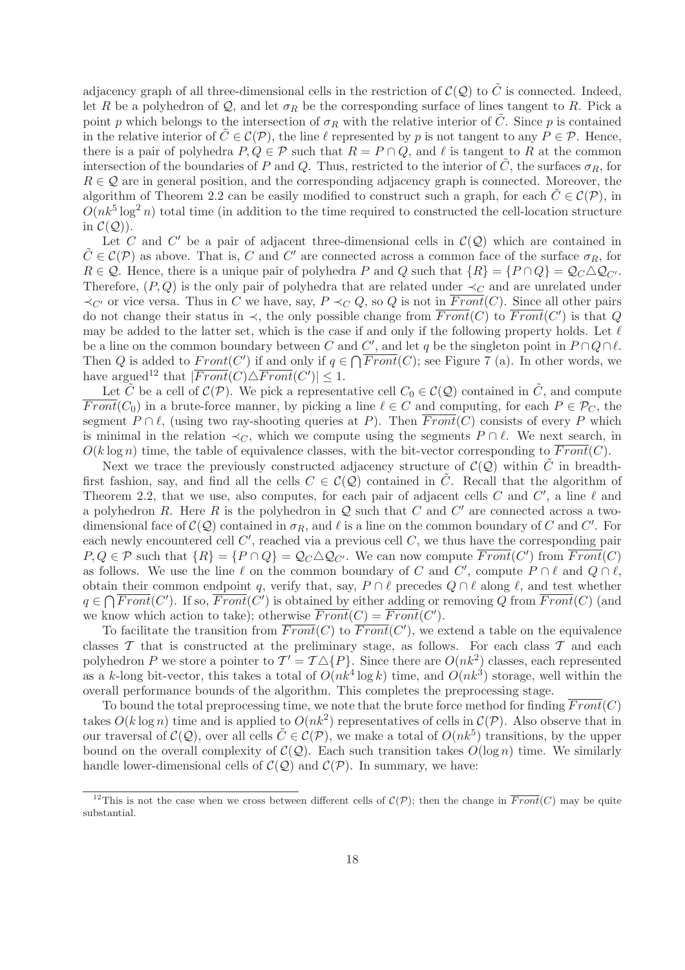adjacency graph of all three-dimensional cells in the restriction of  $\mathcal{C}(\mathcal{Q})$  to  $\tilde{C}$  is connected. Indeed, let R be a polyhedron of Q, and let  $\sigma_R$  be the corresponding surface of lines tangent to R. Pick a point p which belongs to the intersection of  $\sigma_R$  with the relative interior of  $\tilde{C}$ . Since p is contained in the relative interior of  $C \in \mathcal{C}(\mathcal{P})$ , the line  $\ell$  represented by p is not tangent to any  $P \in \mathcal{P}$ . Hence, there is a pair of polyhedra  $P, Q \in \mathcal{P}$  such that  $R = P \cap Q$ , and  $\ell$  is tangent to R at the common intersection of the boundaries of P and Q. Thus, restricted to the interior of  $\tilde{C}$ , the surfaces  $\sigma_R$ , for  $R \in \mathcal{Q}$  are in general position, and the corresponding adjacency graph is connected. Moreover, the algorithm of Theorem 2.2 can be easily modified to construct such a graph, for each  $C \in \mathcal{C}(\mathcal{P})$ , in  $O(nk^5 \log^2 n)$  total time (in addition to the time required to constructed the cell-location structure in  $\mathcal{C}(\mathcal{Q})$ .

Let C and C' be a pair of adjacent three-dimensional cells in  $\mathcal{C}(\mathcal{Q})$  which are contained in  $\tilde{C} \in \mathcal{C}(\mathcal{P})$  as above. That is, C and C' are connected across a common face of the surface  $\sigma_R$ , for  $R \in \mathcal{Q}$ . Hence, there is a unique pair of polyhedra P and Q such that  $\{R\} = \{P \cap Q\} = \mathcal{Q}_C \Delta \mathcal{Q}_{C'}$ . Therefore,  $(P, Q)$  is the only pair of polyhedra that are related under  $\prec_C$  and are unrelated under  $\prec_{C'}$  or vice versa. Thus in C we have, say,  $P \prec_C Q$ , so Q is not in  $\overline{Front}(C)$ . Since all other pairs do not change their status in  $\prec$ , the only possible change from  $\overline{Front}(C)$  to  $\overline{Front}(C')$  is that Q may be added to the latter set, which is the case if and only if the following property holds. Let  $\ell$ be a line on the common boundary between C and C', and let q be the singleton point in  $P \cap Q \cap \ell$ . Then Q is added to  $Front(C')$  if and only if  $q \in \bigcap \overline{Front}(C)$ ; see Figure 7 (a). In other words, we have argued<sup>12</sup> that  $|\overline{Front}(C) \triangle \overline{Front}(C')| \leq 1$ .

Let  $\tilde{C}$  be a cell of  $\mathcal{C}(\mathcal{P})$ . We pick a representative cell  $C_0 \in \mathcal{C}(\mathcal{Q})$  contained in  $\tilde{C}$ , and compute  $\overline{Front}(C_0)$  in a brute-force manner, by picking a line  $\ell \in C$  and computing, for each  $P \in \mathcal{P}_C$ , the segment  $P \cap \ell$ , (using two ray-shooting queries at P). Then  $\overline{Front}(C)$  consists of every P which is minimal in the relation  $\prec_C$ , which we compute using the segments  $P \cap \ell$ . We next search, in  $O(k \log n)$  time, the table of equivalence classes, with the bit-vector corresponding to  $\overline{Front}(C)$ .

Next we trace the previously constructed adjacency structure of  $\mathcal{C}(\mathcal{Q})$  within C in breadthfirst fashion, say, and find all the cells  $C \in \mathcal{C}(\mathcal{Q})$  contained in C. Recall that the algorithm of Theorem 2.2, that we use, also computes, for each pair of adjacent cells C and C', a line  $\ell$  and a polyhedron R. Here R is the polyhedron in  $\mathcal Q$  such that C and C' are connected across a twodimensional face of  $\mathcal{C}(\mathcal{Q})$  contained in  $\sigma_R$ , and  $\ell$  is a line on the common boundary of C and C'. For each newly encountered cell  $C'$ , reached via a previous cell  $C$ , we thus have the corresponding pair  $P,Q \in \mathcal{P}$  such that  $\{R\} = \{P \cap Q\} = \mathcal{Q}_C \triangle \mathcal{Q}_{C'}$ . We can now compute  $\overline{Front}(C')$  from  $\overline{Front}(C)$ as follows. We use the line  $\ell$  on the common boundary of C and C', compute  $P \cap \ell$  and  $Q \cap \ell$ , obtain their common endpoint q, verify that, say,  $P \cap \ell$  precedes  $Q \cap \ell$  along  $\ell$ , and test whether  $q \in \bigcap \overline{Front}(C')$ . If so,  $\overline{Front}(C')$  is obtained by either adding or removing Q from  $\overline{Front}(C)$  (and we know which action to take); otherwise  $\overline{Front}(C) = \overline{Front}(C')$ .

To facilitate the transition from  $\overline{Front}(C)$  to  $\overline{Front}(C')$ , we extend a table on the equivalence classes  $\mathcal T$  that is constructed at the preliminary stage, as follows. For each class  $\mathcal T$  and each polyhedron P we store a pointer to  $\mathcal{T}' = \mathcal{T} \triangle \{P\}$ . Since there are  $O(nk^2)$  classes, each represented as a k-long bit-vector, this takes a total of  $O(nk^4 \log k)$  time, and  $O(nk^3)$  storage, well within the overall performance bounds of the algorithm. This completes the preprocessing stage.

To bound the total preprocessing time, we note that the brute force method for finding  $\overline{Front}(C)$ takes  $O(k \log n)$  time and is applied to  $O(nk^2)$  representatives of cells in  $\mathcal{C}(\mathcal{P})$ . Also observe that in our traversal of  $\mathcal{C}(\mathcal{Q})$ , over all cells  $\tilde{C} \in \mathcal{C}(\mathcal{P})$ , we make a total of  $O(nk^5)$  transitions, by the upper bound on the overall complexity of  $\mathcal{C}(\mathcal{Q})$ . Each such transition takes  $O(\log n)$  time. We similarly handle lower-dimensional cells of  $\mathcal{C}(\mathcal{Q})$  and  $\mathcal{C}(\mathcal{P})$ . In summary, we have:

<sup>&</sup>lt;sup>12</sup>This is not the case when we cross between different cells of  $\mathcal{C}(\mathcal{P})$ ; then the change in  $\overline{Front}(C)$  may be quite substantial.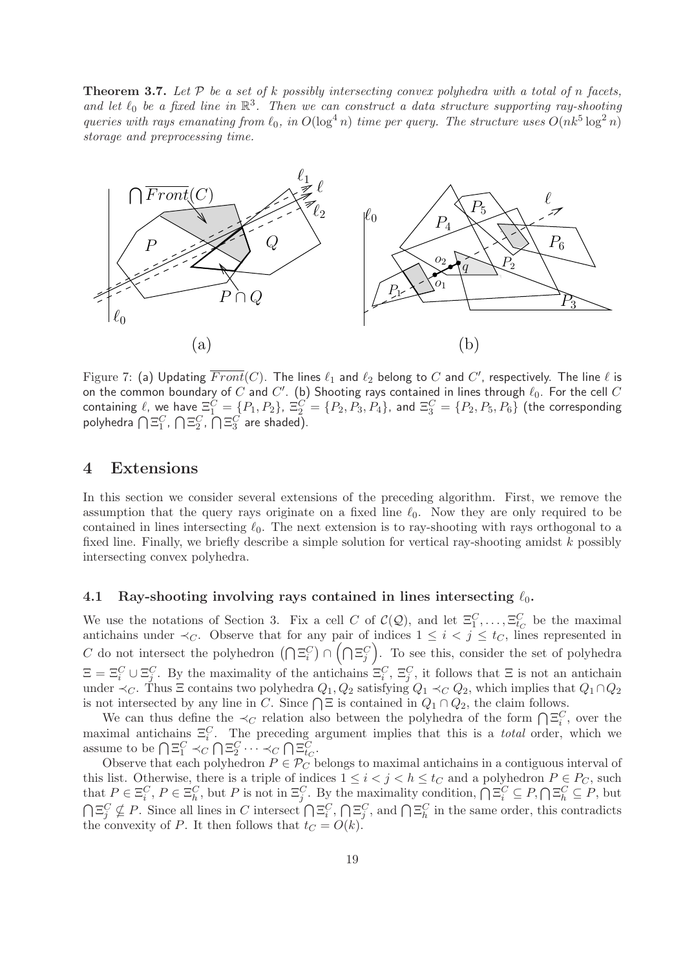**Theorem 3.7.** Let  $P$  be a set of k possibly intersecting convex polyhedra with a total of n facets, and let  $\ell_0$  be a fixed line in  $\mathbb{R}^3$ . Then we can construct a data structure supporting ray-shooting queries with rays emanating from  $\ell_0$ , in  $O(\log^4 n)$  time per query. The structure uses  $O(nk^5 \log^2 n)$ storage and preprocessing time.



Figure 7: (a) Updating  $\overline{Front}(C).$  The lines  $\ell_1$  and  $\ell_2$  belong to  $C$  and  $C'$ , respectively. The line  $\ell$  is on the common boundary of  $C$  and  $C'$ . (b) Shooting rays contained in lines through  $\ell_0.$  For the cell  $C$ containing  $\ell$ , we have  $\Xi_1^C=\{P_1,P_2\},\ \Xi_2^C=\{P_2,P_3,P_4\},$  and  $\Xi_3^C=\{P_2,P_5,P_6\}$  (the corresponding polyhedra  $\bigcap \Xi_1^C$ ,  $\bigcap \Xi_2^C$ ,  $\bigcap \Xi_3^C$  are shaded).

### 4 Extensions

In this section we consider several extensions of the preceding algorithm. First, we remove the assumption that the query rays originate on a fixed line  $\ell_0$ . Now they are only required to be contained in lines intersecting  $\ell_0$ . The next extension is to ray-shooting with rays orthogonal to a fixed line. Finally, we briefly describe a simple solution for vertical ray-shooting amidst  $k$  possibly intersecting convex polyhedra.

#### 4.1 Ray-shooting involving rays contained in lines intersecting  $\ell_0$ .

We use the notations of Section 3. Fix a cell C of  $\mathcal{C}(\mathcal{Q})$ , and let  $\Xi_1^C,\ldots,\Xi_{t_C}^C$  be the maximal antichains under  $\prec_C$ . Observe that for any pair of indices  $1 \leq i \leq j \leq t_C$ , lines represented in C do not intersect the polyhedron  $(\bigcap \Xi_i^C) \cap (\bigcap \Xi_j^C)$ . To see this, consider the set of polyhedra  $\Xi = \Xi_i^C \cup \Xi_j^C$ . By the maximality of the antichains  $\Xi_i^C$ ,  $\Xi_j^C$ , it follows that  $\Xi$  is not an antichain under  $\prec_C$ . Thus  $\Xi$  contains two polyhedra  $Q_1, Q_2$  satisfying  $Q_1 \prec_C Q_2$ , which implies that  $Q_1 \cap Q_2$ is not intersected by any line in C. Since  $\bigcap \Xi$  is contained in  $Q_1 \cap Q_2$ , the claim follows.

We can thus define the  $\prec_C$  relation also between the polyhedra of the form  $\bigcap \Xi_i^C$ , over the maximal antichains  $\Xi_i^C$ . The preceding argument implies that this is a *total* order, which we assume to be  $\bigcap \Xi_1^C \prec_C \bigcap \Xi_2^C \cdots \prec_C \bigcap \Xi_{t_C}^C$ .

Observe that each polyhedron  $P \in \mathcal{P}_C$  belongs to maximal antichains in a contiguous interval of this list. Otherwise, there is a triple of indices  $1 \leq i < j < h \leq t_C$  and a polyhedron  $P \in P_C$ , such that  $P \in \Xi_i^C$ ,  $P \in \Xi_h^C$ , but P is not in  $\Xi_j^C$ . By the maximality condition,  $\bigcap \Xi_i^C \subseteq P$ ,  $\bigcap \Xi_h^C \subseteq P$ , but  $\bigcap \Xi_j^C \nsubseteq P$ . Since all lines in C intersect  $\bigcap \Xi_i^C$ ,  $\bigcap \Xi_j^C$ , and  $\bigcap \Xi_h^C$  in the same order, this contradicts the convexity of P. It then follows that  $t_C = O(k)$ .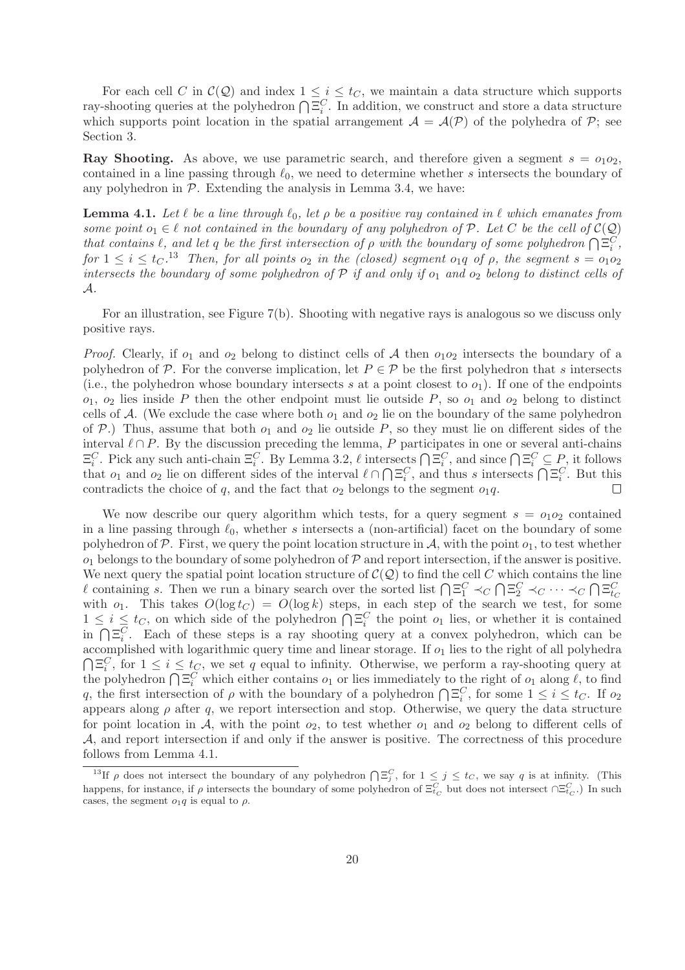For each cell C in  $\mathcal{C}(\mathcal{Q})$  and index  $1 \leq i \leq t_C$ , we maintain a data structure which supports ray-shooting queries at the polyhedron  $\bigcap \Xi_i^C$ . In addition, we construct and store a data structure which supports point location in the spatial arrangement  $\mathcal{A} = \mathcal{A}(\mathcal{P})$  of the polyhedra of  $\mathcal{P}$ ; see Section 3.

**Ray Shooting.** As above, we use parametric search, and therefore given a segment  $s = o_1o_2$ , contained in a line passing through  $\ell_0$ , we need to determine whether s intersects the boundary of any polyhedron in  $P$ . Extending the analysis in Lemma 3.4, we have:

**Lemma 4.1.** Let  $\ell$  be a line through  $\ell_0$ , let  $\rho$  be a positive ray contained in  $\ell$  which emanates from some point  $o_1 \in \ell$  not contained in the boundary of any polyhedron of P. Let C be the cell of  $\mathcal{C}(\mathcal{Q})$ that contains  $\ell$ , and let q be the first intersection of  $\rho$  with the boundary of some polyhedron  $\bigcap \Xi_i^C$ , for  $1 \le i \le t_C$ .<sup>13</sup> Then, for all points  $o_2$  in the (closed) segment  $o_1q$  of  $\rho$ , the segment  $s = o_1o_2$ intersects the boundary of some polyhedron of  $P$  if and only if  $o_1$  and  $o_2$  belong to distinct cells of A.

For an illustration, see Figure 7(b). Shooting with negative rays is analogous so we discuss only positive rays.

*Proof.* Clearly, if  $o_1$  and  $o_2$  belong to distinct cells of A then  $o_1o_2$  intersects the boundary of a polyhedron of P. For the converse implication, let  $P \in \mathcal{P}$  be the first polyhedron that s intersects (i.e., the polyhedron whose boundary intersects s at a point closest to  $o_1$ ). If one of the endpoints  $o_1$ ,  $o_2$  lies inside P then the other endpoint must lie outside P, so  $o_1$  and  $o_2$  belong to distinct cells of A. (We exclude the case where both  $o_1$  and  $o_2$  lie on the boundary of the same polyhedron of P.) Thus, assume that both  $o_1$  and  $o_2$  lie outside P, so they must lie on different sides of the interval  $\ell \cap P$ . By the discussion preceding the lemma, P participates in one or several anti-chains  $\Xi_i^C$ . Pick any such anti-chain  $\Xi_i^C$ . By Lemma 3.2,  $\ell$  intersects  $\bigcap \Xi_i^C$ , and since  $\bigcap \Xi_i^C \subseteq P$ , it follows that  $o_1$  and  $o_2$  lie on different sides of the interval  $\ell \cap \bigcap \Xi_i^C$ , and thus s intersects  $\bigcap \Xi_i^C$ . But this contradicts the choice of  $q$ , and the fact that  $o_2$  belongs to the segment  $o_1q$ .  $\Box$ 

We now describe our query algorithm which tests, for a query segment  $s = o_1o_2$  contained in a line passing through  $\ell_0$ , whether s intersects a (non-artificial) facet on the boundary of some polyhedron of P. First, we query the point location structure in A, with the point  $o_1$ , to test whether  $o_1$  belongs to the boundary of some polyhedron of  $P$  and report intersection, if the answer is positive. We next query the spatial point location structure of  $\mathcal{C}(\mathcal{Q})$  to find the cell C which contains the line l containing s. Then we run a binary search over the sorted list  $\bigcap_{i=1}^{\infty} \prec_C \bigcap_{i=1}^{\infty} \prec_C \cdots \prec_C \bigcap_{i=1}^{\infty}$ with  $o_1$ . This takes  $O(\log t_C) = O(\log k)$  steps, in each step of the search we test, for some  $1 \leq i \leq t_C$ , on which side of the polyhedron  $\bigcap \Xi_i^C$  the point  $o_1$  lies, or whether it is contained in  $\bigcap \Xi_i^C$ . Each of these steps is a ray shooting query at a convex polyhedron, which can be accomplished with logarithmic query time and linear storage. If  $o_1$  lies to the right of all polyhedra  $\bigcap \Xi_i^C$ , for  $1 \leq i \leq t_C$ , we set q equal to infinity. Otherwise, we perform a ray-shooting query at the polyhedron  $\bigcap \Xi_i^C$  which either contains  $o_1$  or lies immediately to the right of  $o_1$  along  $\ell$ , to find q, the first intersection of  $\rho$  with the boundary of a polyhedron  $\bigcap \Xi_i^C$ , for some  $1 \leq i \leq t_C$ . If  $o_2$ appears along  $\rho$  after  $q$ , we report intersection and stop. Otherwise, we query the data structure for point location in  $A$ , with the point  $o_2$ , to test whether  $o_1$  and  $o_2$  belong to different cells of A, and report intersection if and only if the answer is positive. The correctness of this procedure follows from Lemma 4.1.

<sup>&</sup>lt;sup>13</sup>If  $\rho$  does not intersect the boundary of any polyhedron  $\bigcap \Xi_j^C$ , for  $1 \leq j \leq t_C$ , we say q is at infinity. (This happens, for instance, if  $\rho$  intersects the boundary of some polyhedron of  $\Xi_{t_C}^C$  but does not intersect  $\cap \Xi_{t_C}^C$ .) In such cases, the segment  $o_1q$  is equal to  $\rho$ .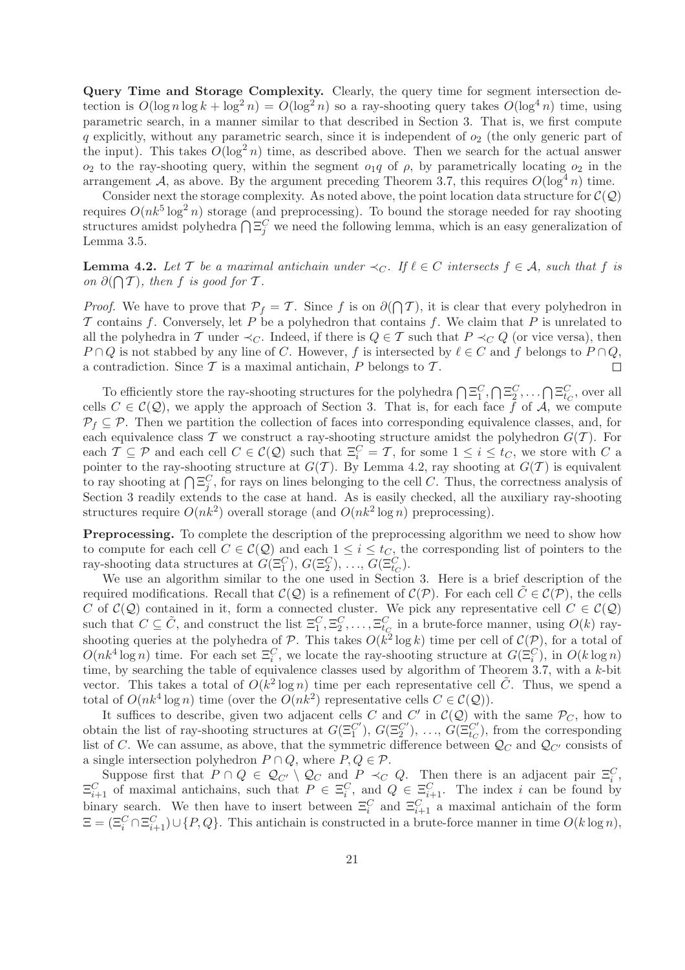Query Time and Storage Complexity. Clearly, the query time for segment intersection detection is  $O(\log n \log k + \log^2 n) = O(\log^2 n)$  so a ray-shooting query takes  $O(\log^4 n)$  time, using parametric search, in a manner similar to that described in Section 3. That is, we first compute q explicitly, without any parametric search, since it is independent of  $o_2$  (the only generic part of the input). This takes  $O(\log^2 n)$  time, as described above. Then we search for the actual answer  $o_2$  to the ray-shooting query, within the segment  $o_1q$  of  $\rho$ , by parametrically locating  $o_2$  in the arrangement A, as above. By the argument preceding Theorem 3.7, this requires  $O(\log^4 n)$  time.

Consider next the storage complexity. As noted above, the point location data structure for  $\mathcal{C}(\mathcal{Q})$ requires  $O(nk^5 \log^2 n)$  storage (and preprocessing). To bound the storage needed for ray shooting structures amidst polyhedra  $\bigcap \Xi_j^C$  we need the following lemma, which is an easy generalization of Lemma 3.5.

**Lemma 4.2.** Let T be a maximal antichain under  $\prec_C$ . If  $\ell \in C$  intersects  $f \in A$ , such that f is on  $\partial(\bigcap T)$ , then f is good for T.

*Proof.* We have to prove that  $\mathcal{P}_f = \mathcal{T}$ . Since f is on  $\partial(\bigcap \mathcal{T})$ , it is clear that every polyhedron in  $\mathcal T$  contains f. Conversely, let P be a polyhedron that contains f. We claim that P is unrelated to all the polyhedra in T under  $\prec_C$ . Indeed, if there is  $Q \in \mathcal{T}$  such that  $P \prec_C Q$  (or vice versa), then  $P \cap Q$  is not stabbed by any line of C. However, f is intersected by  $\ell \in C$  and f belongs to  $P \cap Q$ , a contradiction. Since  $\mathcal T$  is a maximal antichain,  $P$  belongs to  $\mathcal T$ .  $\Box$ 

To efficiently store the ray-shooting structures for the polyhedra  $\bigcap \Xi_1^C, \bigcap \Xi_2^C, \dots \bigcap \Xi_{tc}^C$ , over all cells  $C \in \mathcal{C}(\mathcal{Q})$ , we apply the approach of Section 3. That is, for each face f of A, we compute  $\mathcal{P}_f \subset \mathcal{P}$ . Then we partition the collection of faces into corresponding equivalence classes, and, for each equivalence class T we construct a ray-shooting structure amidst the polyhedron  $G(T)$ . For each  $\mathcal{T} \subseteq \mathcal{P}$  and each cell  $C \in \mathcal{C}(\mathcal{Q})$  such that  $\Xi_i^C = \mathcal{T}$ , for some  $1 \leq i \leq t_C$ , we store with  $C$  a pointer to the ray-shooting structure at  $G(\mathcal{T})$ . By Lemma 4.2, ray shooting at  $G(\mathcal{T})$  is equivalent to ray shooting at  $\bigcap \Xi_i^C$ , for rays on lines belonging to the cell C. Thus, the correctness analysis of  $\sum_{i=1}^{\infty}$  shooting at  $\prod_{i=1}^{\infty}$ , for rays on fines belonging to the centre. Thus, the correctness analysis of Section 3 readily extends to the case at hand. As is easily checked, all the auxiliary ray-shooting structures require  $O(nk^2)$  overall storage (and  $O(nk^2 \log n)$  preprocessing).

Preprocessing. To complete the description of the preprocessing algorithm we need to show how to compute for each cell  $C \in \mathcal{C}(\mathcal{Q})$  and each  $1 \leq i \leq t_C$ , the corresponding list of pointers to the ray-shooting data structures at  $G(\Xi_1^C)$ ,  $G(\Xi_2^C)$ , ...,  $G(\Xi_{t_C}^C)$ .

We use an algorithm similar to the one used in Section 3. Here is a brief description of the required modifications. Recall that  $\mathcal{C}(\mathcal{Q})$  is a refinement of  $\mathcal{C}(\mathcal{P})$ . For each cell  $C \in \mathcal{C}(\mathcal{P})$ , the cells C of  $\mathcal{C}(\mathcal{Q})$  contained in it, form a connected cluster. We pick any representative cell  $C \in \mathcal{C}(\mathcal{Q})$ such that  $C \subseteq \tilde{C}$ , and construct the list  $\Xi_1^C, \Xi_2^C, \ldots, \Xi_{t_C}^C$  in a brute-force manner, using  $O(k)$  rayshooting queries at the polyhedra of P. This takes  $O(k^2 \log k)$  time per cell of  $\mathcal{C}(\mathcal{P})$ , for a total of  $O(nk^4 \log n)$  time. For each set  $\Xi_i^C$ , we locate the ray-shooting structure at  $G(\Xi_i^C)$ , in  $O(k \log n)$ time, by searching the table of equivalence classes used by algorithm of Theorem 3.7, with a k-bit vector. This takes a total of  $O(k^2 \log n)$  time per each representative cell  $\tilde{C}$ . Thus, we spend a total of  $O(nk^4 \log n)$  time (over the  $O(nk^2)$  representative cells  $C \in \mathcal{C}(\mathcal{Q})$ ).

It suffices to describe, given two adjacent cells C and C' in  $\mathcal{C}(\mathcal{Q})$  with the same  $\mathcal{P}_C$ , how to obtain the list of ray-shooting structures at  $G(\Xi_1^{C'}), G(\Xi_2^{C'}), \ldots, G(\Xi_{t_C}^{C'})$ , from the corresponding list of C. We can assume, as above, that the symmetric difference between  $\mathcal{Q}_C$  and  $\mathcal{Q}_{C'}$  consists of a single intersection polyhedron  $P \cap Q$ , where  $P, Q \in \mathcal{P}$ .

Suppose first that  $P \cap Q \in \mathcal{Q}_{C'} \setminus \mathcal{Q}_C$  and  $P \prec_C Q$ . Then there is an adjacent pair  $\Xi_i^C$ ,  $\Xi_{i+1}^C$  of maximal antichains, such that  $P \in \Xi_i^C$ , and  $Q \in \Xi_{i+1}^C$ . The index i can be found by binary search. We then have to insert between  $\Xi_i^C$  and  $\Xi_{i+1}^C$  a maximal antichain of the form  $\Xi = (\Xi_i^C \cap \Xi_{i+1}^C) \cup \{P, Q\}$ . This antichain is constructed in a brute-force manner in time  $O(k \log n)$ ,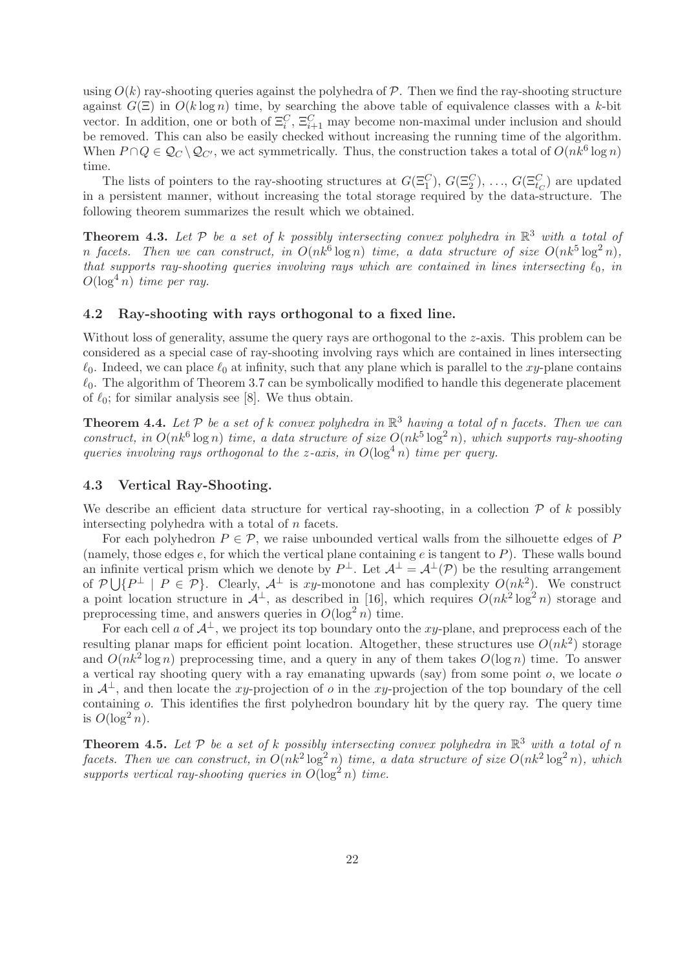using  $O(k)$  ray-shooting queries against the polyhedra of  $\mathcal P$ . Then we find the ray-shooting structure against  $G(\Xi)$  in  $O(k \log n)$  time, by searching the above table of equivalence classes with a k-bit vector. In addition, one or both of  $\Xi_i^C$ ,  $\Xi_{i+1}^C$  may become non-maximal under inclusion and should be removed. This can also be easily checked without increasing the running time of the algorithm. When  $P \cap Q \in \mathcal{Q}_C \setminus \mathcal{Q}_{C'}$ , we act symmetrically. Thus, the construction takes a total of  $O(nk^6 \log n)$ time.

The lists of pointers to the ray-shooting structures at  $G(\Xi_1^C), G(\Xi_2^C), \ldots, G(\Xi_{tc}^C)$  are updated in a persistent manner, without increasing the total storage required by the data-structure. The following theorem summarizes the result which we obtained.

**Theorem 4.3.** Let  $P$  be a set of k possibly intersecting convex polyhedra in  $\mathbb{R}^3$  with a total of n facets. Then we can construct, in  $O(nk^6 \log n)$  time, a data structure of size  $O(nk^5 \log^2 n)$ , that supports ray-shooting queries involving rays which are contained in lines intersecting  $\ell_0$ , in  $O(\log^4 n)$  time per ray.

#### 4.2 Ray-shooting with rays orthogonal to a fixed line.

Without loss of generality, assume the query rays are orthogonal to the z-axis. This problem can be considered as a special case of ray-shooting involving rays which are contained in lines intersecting  $\ell_0$ . Indeed, we can place  $\ell_0$  at infinity, such that any plane which is parallel to the xy-plane contains  $\ell_0$ . The algorithm of Theorem 3.7 can be symbolically modified to handle this degenerate placement of  $\ell_0$ ; for similar analysis see [8]. We thus obtain.

**Theorem 4.4.** Let  $P$  be a set of k convex polyhedra in  $\mathbb{R}^3$  having a total of n facets. Then we can construct, in  $O(nk^6 \log n)$  time, a data structure of size  $O(nk^5 \log^2 n)$ , which supports ray-shooting queries involving rays orthogonal to the z-axis, in  $O(\log^4 n)$  time per query.

#### 4.3 Vertical Ray-Shooting.

We describe an efficient data structure for vertical ray-shooting, in a collection  $\mathcal P$  of k possibly intersecting polyhedra with a total of  $n$  facets.

For each polyhedron  $P \in \mathcal{P}$ , we raise unbounded vertical walls from the silhouette edges of P (namely, those edges  $e$ , for which the vertical plane containing  $e$  is tangent to  $P$ ). These walls bound an infinite vertical prism which we denote by  $P^{\perp}$ . Let  $\mathcal{A}^{\perp} = \mathcal{A}^{\perp}(\mathcal{P})$  be the resulting arrangement of  $\mathcal{P}\bigcup\{P^\perp\mid P\in\mathcal{P}\}\$ . Clearly,  $\mathcal{A}^\perp$  is xy-monotone and has complexity  $O(nk^2)$ . We construct a point location structure in  $\mathcal{A}^{\perp}$ , as described in [16], which requires  $O(nk^2 \log^2 n)$  storage and preprocessing time, and answers queries in  $O(\log^2 n)$  time.

For each cell a of  $\mathcal{A}^{\perp}$ , we project its top boundary onto the xy-plane, and preprocess each of the resulting planar maps for efficient point location. Altogether, these structures use  $O(nk^2)$  storage and  $O(nk^2 \log n)$  preprocessing time, and a query in any of them takes  $O(\log n)$  time. To answer a vertical ray shooting query with a ray emanating upwards (say) from some point  $o$ , we locate  $o$ in  $\mathcal{A}^{\perp}$ , and then locate the xy-projection of o in the xy-projection of the top boundary of the cell containing o. This identifies the first polyhedron boundary hit by the query ray. The query time is  $O(\log^2 n)$ .

**Theorem 4.5.** Let  $P$  be a set of k possibly intersecting convex polyhedra in  $\mathbb{R}^3$  with a total of n facets. Then we can construct, in  $O(nk^2 \log^2 n)$  time, a data structure of size  $O(nk^2 \log^2 n)$ , which supports vertical ray-shooting queries in  $O(\log^2 n)$  time.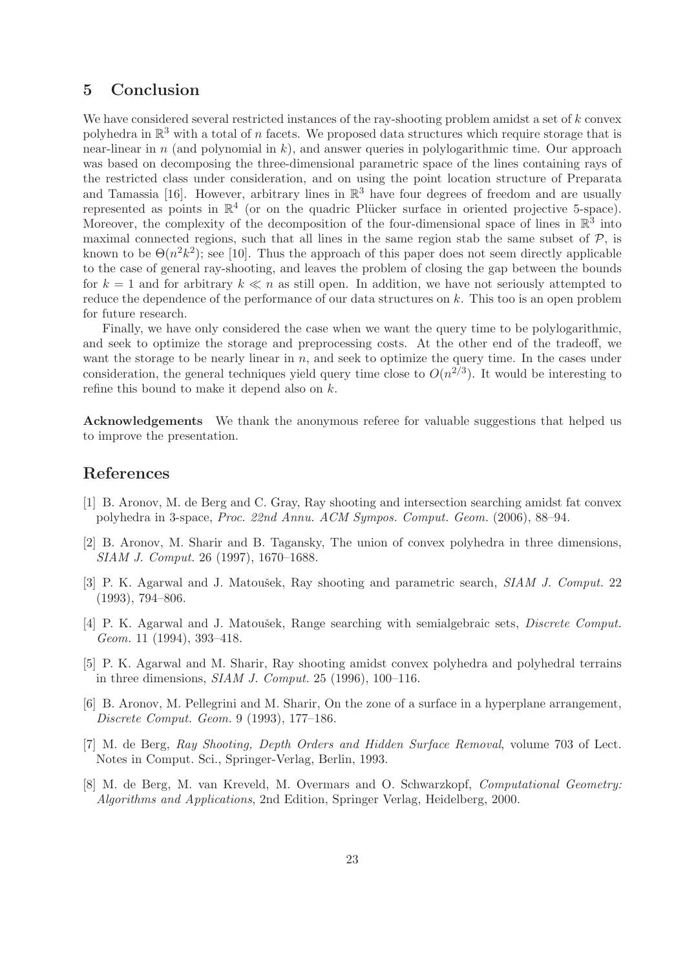## 5 Conclusion

We have considered several restricted instances of the ray-shooting problem amidst a set of  $k$  convex polyhedra in  $\mathbb{R}^3$  with a total of n facets. We proposed data structures which require storage that is near-linear in n (and polynomial in  $k$ ), and answer queries in polylogarithmic time. Our approach was based on decomposing the three-dimensional parametric space of the lines containing rays of the restricted class under consideration, and on using the point location structure of Preparata and Tamassia [16]. However, arbitrary lines in  $\mathbb{R}^3$  have four degrees of freedom and are usually represented as points in  $\mathbb{R}^4$  (or on the quadric Plücker surface in oriented projective 5-space). Moreover, the complexity of the decomposition of the four-dimensional space of lines in  $\mathbb{R}^3$  into maximal connected regions, such that all lines in the same region stab the same subset of  $\mathcal{P}$ , is known to be  $\Theta(n^2k^2)$ ; see [10]. Thus the approach of this paper does not seem directly applicable to the case of general ray-shooting, and leaves the problem of closing the gap between the bounds for  $k = 1$  and for arbitrary  $k \ll n$  as still open. In addition, we have not seriously attempted to reduce the dependence of the performance of our data structures on k. This too is an open problem for future research.

Finally, we have only considered the case when we want the query time to be polylogarithmic, and seek to optimize the storage and preprocessing costs. At the other end of the tradeoff, we want the storage to be nearly linear in  $n$ , and seek to optimize the query time. In the cases under consideration, the general techniques yield query time close to  $O(n^{2/3})$ . It would be interesting to refine this bound to make it depend also on k.

Acknowledgements We thank the anonymous referee for valuable suggestions that helped us to improve the presentation.

## References

- [1] B. Aronov, M. de Berg and C. Gray, Ray shooting and intersection searching amidst fat convex polyhedra in 3-space, Proc. 22nd Annu. ACM Sympos. Comput. Geom. (2006), 88–94.
- [2] B. Aronov, M. Sharir and B. Tagansky, The union of convex polyhedra in three dimensions, SIAM J. Comput. 26 (1997), 1670–1688.
- [3] P. K. Agarwal and J. Matoušek, Ray shooting and parametric search, SIAM J. Comput. 22 (1993), 794–806.
- [4] P. K. Agarwal and J. Matoušek, Range searching with semialgebraic sets, *Discrete Comput.* Geom. 11 (1994), 393–418.
- [5] P. K. Agarwal and M. Sharir, Ray shooting amidst convex polyhedra and polyhedral terrains in three dimensions,  $SIAM$  J. Comput. 25 (1996), 100–116.
- [6] B. Aronov, M. Pellegrini and M. Sharir, On the zone of a surface in a hyperplane arrangement, Discrete Comput. Geom. 9 (1993), 177–186.
- [7] M. de Berg, Ray Shooting, Depth Orders and Hidden Surface Removal, volume 703 of Lect. Notes in Comput. Sci., Springer-Verlag, Berlin, 1993.
- [8] M. de Berg, M. van Kreveld, M. Overmars and O. Schwarzkopf, Computational Geometry: Algorithms and Applications, 2nd Edition, Springer Verlag, Heidelberg, 2000.